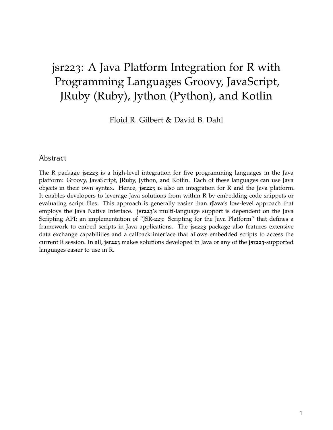# jsr223: A Java Platform Integration for R with Programming Languages Groovy, JavaScript, JRuby (Ruby), Jython (Python), and Kotlin

Floid R. Gilbert & David B. Dahl

## Abstract

The R package **jsr223** is a high-level integration for five programming languages in the Java platform: Groovy, JavaScript, JRuby, Jython, and Kotlin. Each of these languages can use Java objects in their own syntax. Hence, **jsr223** is also an integration for R and the Java platform. It enables developers to leverage Java solutions from within R by embedding code snippets or evaluating script files. This approach is generally easier than **rJava**'s low-level approach that employs the Java Native Interface. **jsr223**'s multi-language support is dependent on the Java Scripting API: an implementation of "JSR-223: Scripting for the Java Platform" that defines a framework to embed scripts in Java applications. The **jsr223** package also features extensive data exchange capabilities and a callback interface that allows embedded scripts to access the current R session. In all, **jsr223** makes solutions developed in Java or any of the **jsr223**-supported languages easier to use in R.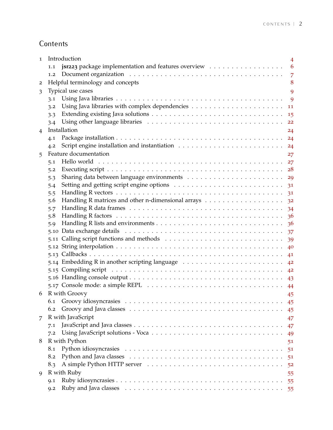## **Contents**

| 1 | Introduction<br>4                                                                                                     |                |  |  |  |
|---|-----------------------------------------------------------------------------------------------------------------------|----------------|--|--|--|
|   | jsr223 package implementation and features overview<br>1.1                                                            | 6              |  |  |  |
|   | 1.2                                                                                                                   | 7              |  |  |  |
| 2 | Helpful terminology and concepts                                                                                      |                |  |  |  |
| 3 | Typical use cases                                                                                                     | 9              |  |  |  |
|   | 3.1                                                                                                                   | 9              |  |  |  |
|   | 3.2                                                                                                                   | 11             |  |  |  |
|   | 3.3                                                                                                                   | 15             |  |  |  |
|   | 3.4                                                                                                                   | 22             |  |  |  |
| 4 | Installation                                                                                                          | 24             |  |  |  |
|   | 4.1                                                                                                                   | 24             |  |  |  |
|   | 4.2                                                                                                                   | 24             |  |  |  |
| 5 | Feature documentation                                                                                                 | 27             |  |  |  |
|   | 5.1                                                                                                                   | 27             |  |  |  |
|   | 5.2                                                                                                                   | 28             |  |  |  |
|   | 5.3                                                                                                                   | 29             |  |  |  |
|   | 5.4                                                                                                                   | 3 <sup>1</sup> |  |  |  |
|   | 5.5                                                                                                                   | 31             |  |  |  |
|   | 5.6                                                                                                                   | 3 <sup>2</sup> |  |  |  |
|   | 5.7                                                                                                                   | 34             |  |  |  |
|   | Handling R factors $\dots \dots \dots \dots \dots \dots \dots \dots \dots \dots \dots \dots \dots \dots \dots$<br>5.8 | 36             |  |  |  |
|   | 5.9                                                                                                                   | 36             |  |  |  |
|   |                                                                                                                       | 37             |  |  |  |
|   |                                                                                                                       | 39             |  |  |  |
|   |                                                                                                                       | 40             |  |  |  |
|   |                                                                                                                       | 41             |  |  |  |
|   | 5.14 Embedding R in another scripting language                                                                        | 4 <sup>2</sup> |  |  |  |
|   |                                                                                                                       | 4 <sup>2</sup> |  |  |  |
|   |                                                                                                                       | 43             |  |  |  |
|   | 5.17 Console mode: a simple REPL $\ldots \ldots \ldots \ldots \ldots \ldots \ldots \ldots \ldots \ldots \ldots$       | 44             |  |  |  |
| 6 | R with Groovy                                                                                                         | 45             |  |  |  |
|   | 6.1                                                                                                                   | 45             |  |  |  |
|   | 6.2                                                                                                                   | 45             |  |  |  |
| 7 | R with JavaScript                                                                                                     | 47             |  |  |  |
|   | 7.1                                                                                                                   | 47             |  |  |  |
|   | 7.2                                                                                                                   | 49             |  |  |  |
| 8 | R with Python                                                                                                         | 51             |  |  |  |
|   | 8.1                                                                                                                   | 51             |  |  |  |
|   | 8.2                                                                                                                   | 51             |  |  |  |
|   | 8.3                                                                                                                   | 52             |  |  |  |
| 9 | R with Ruby                                                                                                           | 55             |  |  |  |
|   | Q.1                                                                                                                   | 55             |  |  |  |
|   | Q.2                                                                                                                   |                |  |  |  |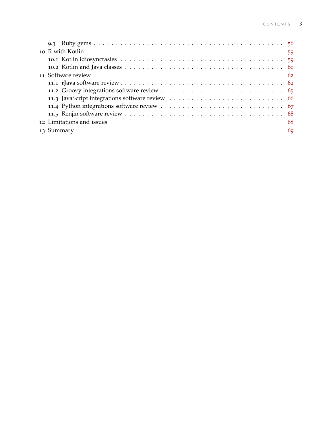| 10 R with Kotlin          | 59 |
|---------------------------|----|
|                           |    |
|                           |    |
| 11 Software review        | 62 |
|                           |    |
|                           |    |
|                           |    |
|                           |    |
|                           |    |
| 12 Limitations and issues | 68 |
| 13 Summary                | 69 |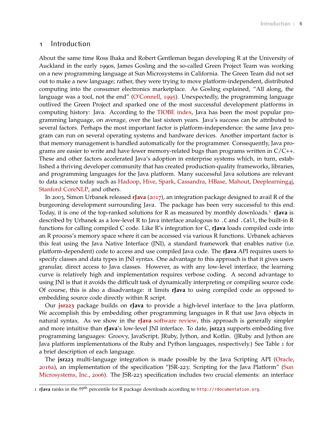#### <span id="page-3-0"></span>1 Introduction

About the same time Ross Ihaka and Robert Gentleman began developing R at the University of Auckland in the early 1990s, James Gosling and the so-called Green Project Team was working on a new programming language at Sun Microsystems in California. The Green Team did not set out to make a new language; rather, they were trying to move platform-independent, distributed computing into the consumer electronics marketplace. As Gosling explained, "All along, the language was a tool, not the end" [\(O'Connell,](#page-69-0) [1995](#page-69-0)). Unexpectedly, the programming language outlived the Green Project and sparked one of the most successful development platforms in computing history: Java. According to the [TIOBE index,](https://www.tiobe.com/tiobe-index/) Java has been the most popular programming language, on average, over the last sixteen years. Java's success can be attributed to several factors. Perhaps the most important factor is platform-independence: the same Java program can run on several operating systems and hardware devices. Another important factor is that memory management is handled automatically for the programmer. Consequently, Java programs are easier to write and have fewer memory-related bugs than programs written in C/C++. These and other factors accelerated Java's adoption in enterprise systems which, in turn, established a thriving developer community that has created production-quality frameworks, libraries, and programming languages for the Java platform. Many successful Java solutions are relevant to data science today such as [Hadoop,](http://hadoop.apache.org/) [Hive,](https://hive.apache.org/) [Spark,](https://spark.apache.org/) [Cassandra,](http://cassandra.apache.org/) [HBase,](https://hbase.apache.org/) [Mahout,](https://mahout.apache.org/) [Deeplearning](https://deeplearning4j.org/)4j, [Stanford CoreNLP,](https://stanfordnlp.github.io/CoreNLP/) and others.

In 2003, Simon Urbanek released **[rJava](https://CRAN.R-project.org/package=rJava)** ([2017](#page-70-0)), an integration package designed to avail R of the burgeoning development surrounding Java. The package has been very successful to this end. Today, it is one of the top-ranked solutions for R as measured by monthly downloads.[1](#page-3-1) **rJava** is described by Urbanek as a low-level R to Java interface analogous to .C and .Call, the built-in R functions for calling compiled C code. Like R's integration for C, **rJava** loads compiled code into an R process's memory space where it can be accessed via various R functions. Urbanek achieves this feat using the Java Native Interface (JNI), a standard framework that enables native (i.e. platform-dependent) code to access and use compiled Java code. The **rJava** API requires users to specify classes and data types in JNI syntax. One advantage to this approach is that it gives users granular, direct access to Java classes. However, as with any low-level interface, the learning curve is relatively high and implementation requires verbose coding. A second advantage to using JNI is that it avoids the difficult task of dynamically interpreting or compiling source code. Of course, this is also a disadvantage: it limits **rJava** to using compiled code as opposed to embedding source code directly within R script.

Our **jsr[223](https://CRAN.R-project.org/package=jsr223)** package builds on **rJava** to provide a high-level interface to the Java platform. We accomplish this by embedding other programming languages in R that use Java objects in natural syntax. As we show in the **rJava** [software review,](#page-61-1) this approach is generally simpler and more intuitive than **rJava**'s low-level JNI interface. To date, **jsr223** supports embedding five programming languages: Groovy, JavaScript, JRuby, Jython, and Kotlin. (JRuby and Jython are Java platform implementations of the Ruby and Python languages, respectively.) See Table [1](#page-4-0) for a brief description of each language.

The **jsr223** multi-language integration is made possible by the Java Scripting API [\(Oracle,](#page-69-1) [2016](#page-69-1)a), an implementation of the specification "JSR-223: Scripting for the Java Platform" [\(Sun](#page-69-2) [Microsystems, Inc.,](#page-69-2) [2006](#page-69-2)). The JSR-223 specification includes two crucial elements: an interface

<span id="page-3-1"></span><sup>1</sup> **rJava** ranks in the 99th percentile for R package downloads according to <http://rdocumentation.org>.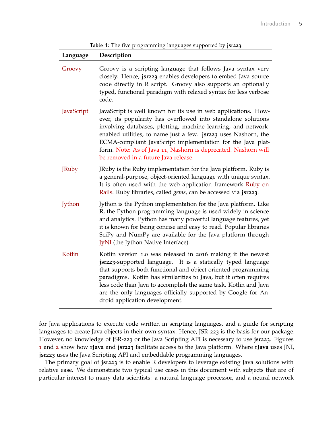**Table 1:** The five programming languages supported by **jsr223**.

<span id="page-4-0"></span>

| Language     | Description                                                                                                                                                                                                                                                                                                                                                                                                                                  |
|--------------|----------------------------------------------------------------------------------------------------------------------------------------------------------------------------------------------------------------------------------------------------------------------------------------------------------------------------------------------------------------------------------------------------------------------------------------------|
| Groovy       | Groovy is a scripting language that follows Java syntax very<br>closely. Hence, jsr223 enables developers to embed Java source<br>code directly in R script. Groovy also supports an optionally<br>typed, functional paradigm with relaxed syntax for less verbose<br>code.                                                                                                                                                                  |
| JavaScript   | JavaScript is well known for its use in web applications. How-<br>ever, its popularity has overflowed into standalone solutions<br>involving databases, plotting, machine learning, and network-<br>enabled utilities, to name just a few. jsr223 uses Nashorn, the<br>ECMA-compliant JavaScript implementation for the Java plat-<br>form. Note: As of Java 11, Nashorn is deprecated. Nashorn will<br>be removed in a future Java release. |
| <b>JRuby</b> | JRuby is the Ruby implementation for the Java platform. Ruby is<br>a general-purpose, object-oriented language with unique syntax.<br>It is often used with the web application framework Ruby on<br>Rails. Ruby libraries, called <i>gems</i> , can be accessed via jsr223.                                                                                                                                                                 |
| Jython       | Jython is the Python implementation for the Java platform. Like<br>R, the Python programming language is used widely in science<br>and analytics. Python has many powerful language features, yet<br>it is known for being concise and easy to read. Popular libraries<br>SciPy and NumPy are available for the Java platform through<br>JyNI (the Jython Native Interface).                                                                 |
| Kotlin       | Kotlin version 1.0 was released in 2016 making it the newest<br>jsr223-supported language. It is a statically typed language<br>that supports both functional and object-oriented programming<br>paradigms. Kotlin has similarities to Java, but it often requires<br>less code than Java to accomplish the same task. Kotlin and Java<br>are the only languages officially supported by Google for An-<br>droid application development.    |

for Java applications to execute code written in scripting languages, and a guide for scripting languages to create Java objects in their own syntax. Hence, JSR-223 is the basis for our package. However, no knowledge of JSR-223 or the Java Scripting API is necessary to use **jsr223**. Figures [1](#page-5-1) and [2](#page-5-1) show how **rJava** and **jsr223** facilitate access to the Java platform. Where **rJava** uses JNI, **jsr223** uses the Java Scripting API and embeddable programming languages.

The primary goal of **jsr223** is to enable R developers to leverage existing Java solutions with relative ease. We demonstrate two typical use cases in this document with subjects that are of particular interest to many data scientists: a natural language processor, and a neural network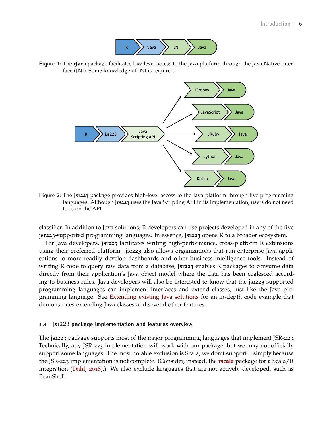

<span id="page-5-1"></span>**Figure 1:** The **rJava** package facilitates low-level access to the Java platform through the Java Native Interface (JNI). Some knowledge of JNI is required.



**Figure 2:** The **jsr223** package provides high-level access to the Java platform through five programming languages. Although **jrs223** uses the Java Scripting API in its implementation, users do not need to learn the API.

classifier. In addition to Java solutions, R developers can use projects developed in any of the five **jsr223**-supported programming languages. In essence, **jsr223** opens R to a broader ecosystem.

For Java developers, **jsr223** facilitates writing high-performance, cross-platform R extensions using their preferred platform. **jsr223** also allows organizations that run enterprise Java applications to more readily develop dashboards and other business intelligence tools. Instead of writing R code to query raw data from a database, **jsr223** enables R packages to consume data directly from their application's Java object model where the data has been coalesced according to business rules. Java developers will also be interested to know that the **jsr223**-supported programming languages can implement interfaces and extend classes, just like the Java programming language. See [Extending existing Java solutions](#page-14-0) for an in-depth code example that demonstrates extending Java classes and several other features.

#### <span id="page-5-0"></span>**1.1 jsr223 package implementation and features overview**

The **jsr223** package supports most of the major programming languages that implement JSR-223. Technically, any JSR-223 implementation will work with our package, but we may not officially support some languages. The most notable exclusion is Scala; we don't support it simply because the JSR-223 implementation is not complete. (Consider, instead, the **[rscala](https://CRAN.R-project.org/package=rscala)** package for a Scala/R integration [\(Dahl,](#page-68-0) [2018](#page-68-0)).) We also exclude languages that are not actively developed, such as BeanShell.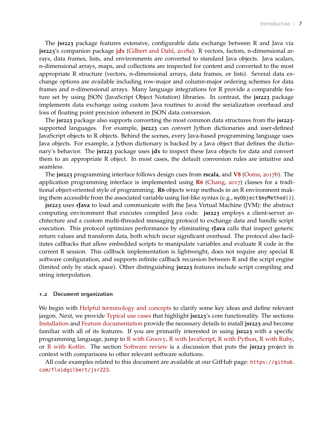The **jsr223** package features extensive, configurable data exchange between R and Java via **jsr223**'s companion package **[jdx](https://CRAN.R-project.org/package=jdx)** [\(Gilbert and Dahl,](#page-68-1) [2018](#page-68-1)a). R vectors, factors, n-dimensional arrays, data frames, lists, and environments are converted to standard Java objects. Java scalars, n-dimensional arrays, maps, and collections are inspected for content and converted to the most appropriate R structure (vectors, n-dimensional arrays, data frames, or lists). Several data exchange options are available including row-major and column-major ordering schemes for data frames and n-dimensional arrays. Many language integrations for R provide a comparable feature set by using JSON (JavaScript Object Notation) libraries. In contrast, the **jsr223** package implements data exchange using custom Java routines to avoid the serialization overhead and loss of floating point precision inherent in JSON data conversion.

The **jsr223** package also supports converting the most common data structures from the **jsr223** supported languages. For example, **jsr223** can convert Jython dictionaries and user-defined JavaScript objects to R objects. Behind the scenes, every Java-based programming language uses Java objects. For example, a Jython dictionary is backed by a Java object that defines the dictionary's behavior. The **jsr223** package uses **jdx** to inspect these Java objects for data and convert them to an appropriate R object. In most cases, the default conversion rules are intuitive and seamless.

The **jsr223** programming interface follows design cues from **rscala**, and **[V](https://CRAN.R-project.org/package=V8)8** [\(Ooms,](#page-69-3) [2017](#page-69-3)b). The application programming interface is implemented using **[R](https://CRAN.R-project.org/package=R6)6** [\(Chang,](#page-68-2) [2017](#page-68-2)) classes for a traditional object-oriented style of programming. **R6** objects wrap methods in an R environment making them accessible from the associated variable using list-like syntax (e.g., my0bject \$myMethod()).

**jsr223** uses **rJava** to load and communicate with the Java Virtual Machine (JVM): the abstract computing environment that executes compiled Java code. **jsr223** employs a client-server architecture and a custom multi-threaded messaging protocol to exchange data and handle script execution. This protocol optimizes performance by eliminating **rJava** calls that inspect generic return values and transform data, both which incur significant overhead. The protocol also facilitates callbacks that allow embedded scripts to manipulate variables and evaluate R code in the current R session. This callback implementation is lightweight, does not require any special R software configuration, and supports infinite callback recursion between R and the script engine (limited only by stack space). Other distinguishing **jsr223** features include script compiling and string interpolation.

#### <span id="page-6-0"></span>**1.2 Document organization**

We begin with [Helpful terminology and concepts](#page-6-1) to clarify some key ideas and define relevant jargon. Next, we provide [Typical use cases](#page-8-0) that highlight **jsr223**'s core functionality. The sections [Installation](#page-23-0) and [Feature documentation](#page-26-0) provide the necessary details to install **jsr223** and become familiar with all of its features. If you are primarily interested in using **jsr223** with a specific programming language, jump to [R with Groovy,](#page-44-0) [R with JavaScript,](#page-46-0) [R with Python,](#page-50-0) [R with Ruby,](#page-54-0) or [R with Kotlin.](#page-58-0) The section [Software review](#page-61-0) is a discussion that puts the **jsr223** project in context with comparisons to other relevant software solutions.

<span id="page-6-1"></span>All code examples related to this document are available at our GitHub page: [https://github.](https://github.com/floidgilbert/jsr223) [com/floidgilbert/jsr223](https://github.com/floidgilbert/jsr223).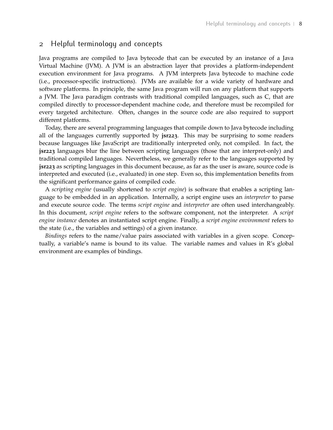## 2 Helpful terminology and concepts

Java programs are compiled to Java bytecode that can be executed by an instance of a Java Virtual Machine (JVM). A JVM is an abstraction layer that provides a platform-independent execution environment for Java programs. A JVM interprets Java bytecode to machine code (i.e., processor-specific instructions). JVMs are available for a wide variety of hardware and software platforms. In principle, the same Java program will run on any platform that supports a JVM. The Java paradigm contrasts with traditional compiled languages, such as C, that are compiled directly to processor-dependent machine code, and therefore must be recompiled for every targeted architecture. Often, changes in the source code are also required to support different platforms.

Today, there are several programming languages that compile down to Java bytecode including all of the languages currently supported by **jsr223**. This may be surprising to some readers because languages like JavaScript are traditionally interpreted only, not compiled. In fact, the **jsr223** languages blur the line between scripting languages (those that are interpret-only) and traditional compiled languages. Nevertheless, we generally refer to the languages supported by **jsr223** as scripting languages in this document because, as far as the user is aware, source code is interpreted and executed (i.e., evaluated) in one step. Even so, this implementation benefits from the significant performance gains of compiled code.

A *scripting engine* (usually shortened to *script engine*) is software that enables a scripting language to be embedded in an application. Internally, a script engine uses an *interpreter* to parse and execute source code. The terms *script engine* and *interpreter* are often used interchangeably. In this document, *script engine* refers to the software component, not the interpreter. A *script engine instance* denotes an instantiated script engine. Finally, a *script engine environment* refers to the state (i.e., the variables and settings) of a given instance.

*Bindings* refers to the name/value pairs associated with variables in a given scope. Conceptually, a variable's name is bound to its value. The variable names and values in R's global environment are examples of bindings.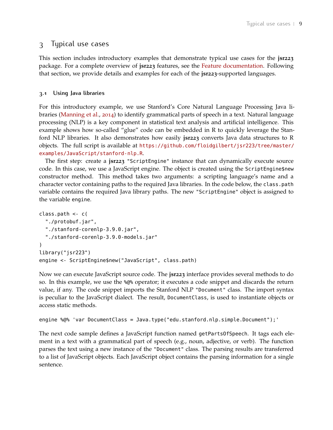## <span id="page-8-0"></span>3 Typical use cases

This section includes introductory examples that demonstrate typical use cases for the **jsr223** package. For a complete overview of **jsr223** features, see the [Feature documentation.](#page-26-0) Following that section, we provide details and examples for each of the **jsr223**-supported languages.

## <span id="page-8-1"></span>**3.1 Using Java libraries**

For this introductory example, we use Stanford's Core Natural Language Processing Java libraries [\(Manning et al.,](#page-69-4) [2014](#page-69-4)) to identify grammatical parts of speech in a text. Natural language processing (NLP) is a key component in statistical text analysis and artificial intelligence. This example shows how so-called "glue" code can be embedded in R to quickly leverage the Stanford NLP libraries. It also demonstrates how easily **jsr223** converts Java data structures to R objects. The full script is available at [https://github.com/floidgilbert/jsr223/tree/master/](https://github.com/floidgilbert/jsr223/tree/master/examples/JavaScript/stanford-nlp.R) [examples/JavaScript/stanford-nlp.R](https://github.com/floidgilbert/jsr223/tree/master/examples/JavaScript/stanford-nlp.R).

The first step: create a **jsr223** "ScriptEngine" instance that can dynamically execute source code. In this case, we use a JavaScript engine. The object is created using the ScriptEngine\$new constructor method. This method takes two arguments: a scripting language's name and a character vector containing paths to the required Java libraries. In the code below, the class.path variable contains the required Java library paths. The new "ScriptEngine" object is assigned to the variable engine.

```
class.path <- c(
  "./protobuf.jar",
  "./stanford-corenlp-3.9.0.jar",
  "./stanford-corenlp-3.9.0-models.jar"
)
library("jsr223")
engine <- ScriptEngine$new("JavaScript", class.path)
```
Now we can execute JavaScript source code. The **jsr223** interface provides several methods to do so. In this example, we use the %@% operator; it executes a code snippet and discards the return value, if any. The code snippet imports the Stanford NLP "Document" class. The import syntax is peculiar to the JavaScript dialect. The result, DocumentClass, is used to instantiate objects or access static methods.

```
engine %@% 'var DocumentClass = Java.type("edu.stanford.nlp.simple.Document");'
```
The next code sample defines a JavaScript function named getPartsOfSpeech. It tags each element in a text with a grammatical part of speech (e.g., noun, adjective, or verb). The function parses the text using a new instance of the "Document" class. The parsing results are transferred to a list of JavaScript objects. Each JavaScript object contains the parsing information for a single sentence.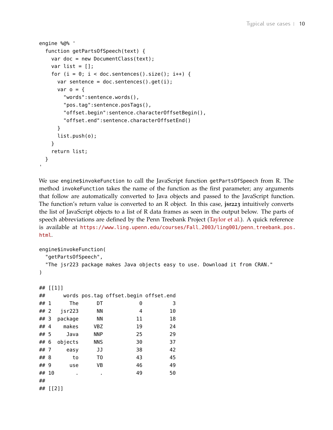```
engine %@% '
  function getPartsOfSpeech(text) {
    var doc = new DocumentClass(text);
    var list = [];
    for (i = 0; i < doc.sentences().size(); i++) {
      var sentence = doc.sentences().get(i);var o = f"words":sentence.words(),
        "pos.tag":sentence.posTags(),
        "offset.begin":sentence.characterOffsetBegin(),
        "offset.end":sentence.characterOffsetEnd()
      }
      list.push(o);
    }
    return list;
 }
```
We use engine\$invokeFunction to call the JavaScript function getPartsOfSpeech from R. The method invokeFunction takes the name of the function as the first parameter; any arguments that follow are automatically converted to Java objects and passed to the JavaScript function. The function's return value is converted to an R object. In this case, **jsr223** intuitively converts the list of JavaScript objects to a list of R data frames as seen in the output below. The parts of speech abbreviations are defined by the Penn Treebank Project [\(Taylor et al.\)](#page-69-5). A quick reference is available at [https://www.ling.upenn.edu/courses/Fall\\_2003/ling001/penn\\_treebank\\_pos.](https://www.ling.upenn.edu/courses/Fall_2003/ling001/penn_treebank_pos.html) [html](https://www.ling.upenn.edu/courses/Fall_2003/ling001/penn_treebank_pos.html).

```
engine$invokeFunction(
 "getPartsOfSpeech",
 "The jsr223 package makes Java objects easy to use. Download it from CRAN."
)
## [[1]]
## words pos.tag offset.begin offset.end
## 1 The DT 0 3
## 2 jsr223 NN 4 10
## 3 package NN 11 18
## 4 makes VBZ 19 24
## 5 Java NNP 25 29
## 6 objects NNS 30 37
## 7 easy JJ 38 42
## 8 to TO 43 45
## 9 use VB 46 49
## 10 . . 49 50
##
## [[2]]
```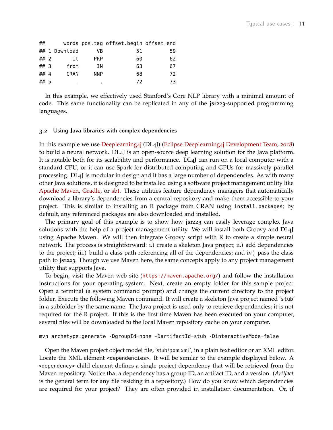| ##   |               |            | words pos.tag offset.begin offset.end |    |
|------|---------------|------------|---------------------------------------|----|
|      | ## 1 Download | VB         | 51                                    | 59 |
| ## 2 | it            | <b>PRP</b> | 60                                    | 62 |
| ## 3 | from          | ΙN         | 63                                    | 67 |
| ## 4 | <b>CRAN</b>   | <b>NNP</b> | 68                                    | 72 |
| ## 5 |               |            | 72                                    | 73 |

In this example, we effectively used Stanford's Core NLP library with a minimal amount of code. This same functionality can be replicated in any of the **jsr223**-supported programming languages.

#### <span id="page-10-0"></span>**3.2 Using Java libraries with complex dependencies**

In this example we use [Deeplearning](https://deeplearning4j.org/)4j (DL4J) [\(Eclipse Deeplearning](#page-68-3)4j Development Team, [2018](#page-68-3)) to build a neural network. DL4J is an open-source deep learning solution for the Java platform. It is notable both for its scalability and performance. DL4J can run on a local computer with a standard CPU, or it can use Spark for distributed computing and GPUs for massively parallel processing. DL4J is modular in design and it has a large number of dependencies. As with many other Java solutions, it is designed to be installed using a software project management utility like [Apache Maven,](https://maven.apache.org/) [Gradle,](https://gradle.org/) or [sbt.](https://www.scala-sbt.org/) These utilities feature dependency managers that automatically download a library's dependencies from a central repository and make them accessible to your project. This is similar to installing an R package from CRAN using install.packages; by default, any referenced packages are also downloaded and installed.

The primary goal of this example is to show how **jsr223** can easily leverage complex Java solutions with the help of a project management utility. We will install both Groovy and DL4J using Apache Maven. We will then integrate Groovy script with R to create a simple neural network. The process is straightforward: i.) create a skeleton Java project; ii.) add dependencies to the project; iii.) build a class path referencing all of the dependencies; and iv.) pass the class path to **jsr223**. Though we use Maven here, the same concepts apply to any project management utility that supports Java.

To begin, visit the Maven web site (<https://maven.apache.org/>) and follow the installation instructions for your operating system. Next, create an empty folder for this sample project. Open a terminal (a system command prompt) and change the current directory to the project folder. Execute the following Maven command. It will create a skeleton Java project named 'stub' in a subfolder by the same name. The Java project is used only to retrieve dependencies; it is not required for the R project. If this is the first time Maven has been executed on your computer, several files will be downloaded to the local Maven repository cache on your computer.

```
mvn archetype:generate -DgroupId=none -DartifactId=stub -DinteractiveMode=false
```
Open the Maven project object model file, 'stub/pom.xml', in a plain text editor or an XML editor. Locate the XML element <dependencies>. It will be similar to the example displayed below. A <dependency> child element defines a single project dependency that will be retrieved from the Maven repository. Notice that a dependency has a group ID, an artifact ID, and a version. (*Artifact* is the general term for any file residing in a repository.) How do you know which dependencies are required for your project? They are often provided in installation documentation. Or, if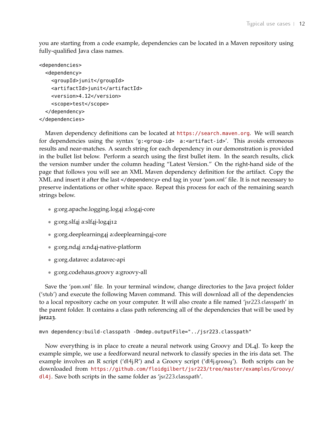you are starting from a code example, dependencies can be located in a Maven repository using fully-qualified Java class names.

```
<dependencies>
  <dependency>
    <groupId>junit</groupId>
    <artifactId>junit</artifactId>
    <version>4.12</version>
    <scope>test</scope>
  </dependency>
</dependencies>
```
Maven dependency definitions can be located at <https://search.maven.org>. We will search for dependencies using the syntax 'g:<group-id> a:<artifact-id>'. This avoids erroneous results and near-matches. A search string for each dependency in our demonstration is provided in the bullet list below. Perform a search using the first bullet item. In the search results, click the version number under the column heading "Latest Version." On the right-hand side of the page that follows you will see an XML Maven dependency definition for the artifact. Copy the XML and insert it after the last </dependency> end tag in your 'pom.xml' file. It is not necessary to preserve indentations or other white space. Repeat this process for each of the remaining search strings below.

- g:org.apache.logging.log4j a:log4j-core
- g:org.slf4j a:slf4j-log4j12
- g:org.deeplearning4j a:deeplearning4j-core
- g:org.nd4j a:nd4j-native-platform
- g:org.datavec a:datavec-api
- g:org.codehaus.groovy a:groovy-all

Save the 'pom.xml' file. In your terminal window, change directories to the Java project folder ('stub') and execute the following Maven command. This will download all of the dependencies to a local repository cache on your computer. It will also create a file named 'jsr223.classpath' in the parent folder. It contains a class path referencing all of the dependencies that will be used by **jsr223**.

```
mvn dependency:build-classpath -Dmdep.outputFile="../jsr223.classpath"
```
Now everything is in place to create a neural network using Groovy and DL4J. To keep the example simple, we use a feedforward neural network to classify species in the iris data set. The example involves an R script ('dl4j.R') and a Groovy script ('dl4j.groovy'). Both scripts can be downloaded from [https://github.com/floidgilbert/jsr223/tree/master/examples/Groovy/](https://github.com/floidgilbert/jsr223/tree/master/examples/Groovy/dl4j) [dl4j](https://github.com/floidgilbert/jsr223/tree/master/examples/Groovy/dl4j). Save both scripts in the same folder as 'jsr223.classpath'.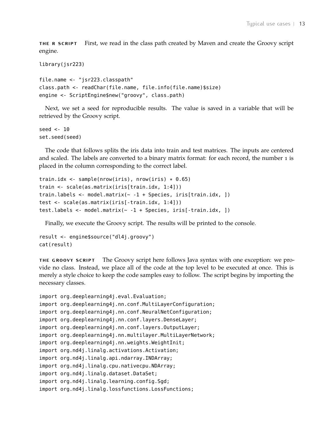**the r script** First, we read in the class path created by Maven and create the Groovy script engine.

```
library(jsr223)
```

```
file.name <- "jsr223.classpath"
class.path <- readChar(file.name, file.info(file.name)$size)
engine <- ScriptEngine$new("groovy", class.path)
```
Next, we set a seed for reproducible results. The value is saved in a variable that will be retrieved by the Groovy script.

seed <- 10 set.seed(seed)

The code that follows splits the iris data into train and test matrices. The inputs are centered and scaled. The labels are converted to a binary matrix format: for each record, the number 1 is placed in the column corresponding to the correct label.

```
train.idx <- sample(nrow(iris), nrow(iris) * 0.65)
train <- scale(as.matrix(iris[train.idx, 1:4]))
train.labels <- model.matrix(~ -1 + Species, iris[train.idx, ])
test <- scale(as.matrix(iris[-train.idx, 1:4]))
test.labels <- model.matrix(~ -1 + Species, iris[-train.idx, ])
```
Finally, we execute the Groovy script. The results will be printed to the console.

```
result <- engine$source("dl4j.groovy")
cat(result)
```
**the groovy script** The Groovy script here follows Java syntax with one exception: we provide no class. Instead, we place all of the code at the top level to be executed at once. This is merely a style choice to keep the code samples easy to follow. The script begins by importing the necessary classes.

```
import org.deeplearning4j.eval.Evaluation;
import org.deeplearning4j.nn.conf.MultiLayerConfiguration;
import org.deeplearning4j.nn.conf.NeuralNetConfiguration;
import org.deeplearning4j.nn.conf.layers.DenseLayer;
import org.deeplearning4j.nn.conf.layers.OutputLayer;
import org.deeplearning4j.nn.multilayer.MultiLayerNetwork;
import org.deeplearning4j.nn.weights.WeightInit;
import org.nd4j.linalg.activations.Activation;
import org.nd4j.linalg.api.ndarray.INDArray;
import org.nd4j.linalg.cpu.nativecpu.NDArray;
import org.nd4j.linalg.dataset.DataSet;
import org.nd4j.linalg.learning.config.Sgd;
import org.nd4j.linalg.lossfunctions.LossFunctions;
```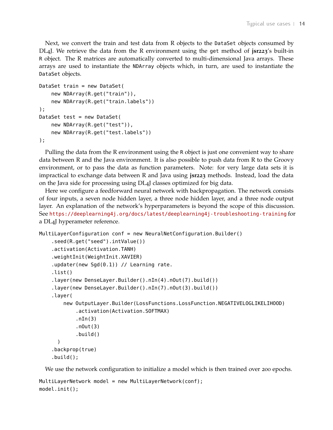Next, we convert the train and test data from R objects to the DataSet objects consumed by DL4J. We retrieve the data from the R environment using the get method of **jsr223**'s built-in R object. The R matrices are automatically converted to multi-dimensional Java arrays. These arrays are used to instantiate the NDArray objects which, in turn, are used to instantiate the DataSet objects.

```
DataSet train = new DataSet(
    new NDArray(R.get("train")),
    new NDArray(R.get("train.labels"))
);
DataSet test = new DataSet(
    new NDArray(R.get("test")),
    new NDArray(R.get("test.labels"))
);
```
Pulling the data from the R environment using the R object is just one convenient way to share data between R and the Java environment. It is also possible to push data from R to the Groovy environment, or to pass the data as function parameters. Note: for very large data sets it is impractical to exchange data between R and Java using **jsr223** methods. Instead, load the data on the Java side for processing using DL4J classes optimized for big data.

Here we configure a feedforward neural network with backpropagation. The network consists of four inputs, a seven node hidden layer, a three node hidden layer, and a three node output layer. An explanation of the network's hyperparameters is beyond the scope of this discussion. See <https://deeplearning4j.org/docs/latest/deeplearning4j-troubleshooting-training> for a DL4J hyperameter reference.

```
MultiLayerConfiguration conf = new NeuralNetConfiguration.Builder()
    .seed(R.get("seed").intValue())
    .activation(Activation.TANH)
    .weightInit(WeightInit.XAVIER)
    .updater(new Sgd(0.1)) // Learning rate.
    .list()
    .layer(new DenseLayer.Builder().nIn(4).nOut(7).build())
    .layer(new DenseLayer.Builder().nIn(7).nOut(3).build())
    .layer(
        new OutputLayer.Builder(LossFunctions.LossFunction.NEGATIVELOGLIKELIHOOD)
            .activation(Activation.SOFTMAX)
            nIn(3).nOut(3)
            .build()
      )
    .backprop(true)
    .build();
```
We use the network configuration to initialize a model which is then trained over 200 epochs.

```
MultiLayerNetwork model = new MultiLayerNetwork(conf);
model.init();
```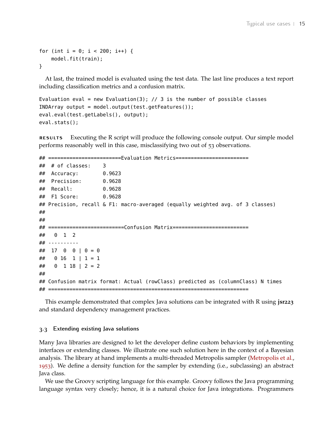```
for (int i = 0; i < 200; i++) {
    model.fit(train);
}
```
At last, the trained model is evaluated using the test data. The last line produces a text report including classification metrics and a confusion matrix.

```
Evaluation eval = new Evaluation(3); // 3 is the number of possible classes
INDArray output = model.output(test.getFeatures());
eval.eval(test.getLabels(), output);
eval.stats();
```
**results** Executing the R script will produce the following console output. Our simple model performs reasonably well in this case, misclassifying two out of 53 observations.

```
## ========================Evaluation Metrics========================
\# \# of classes: 3
## Accuracy: 0.9623
## Precision: 0.9628
## Recall: 0.9628
## F1 Score: 0.9628
## Precision, recall & F1: macro-averaged (equally weighted avg. of 3 classes)
##
##
## =========================Confusion Matrix=========================
## 0 1 2
## ----------
\# \# 17 0 0 | 0 = 0
\# \# 0 16 1 | 1 = 1
\# \# 0 1 18 | 2 = 2
##
## Confusion matrix format: Actual (rowClass) predicted as (columnClass) N times
## ==================================================================
```
This example demonstrated that complex Java solutions can be integrated with R using **jsr223** and standard dependency management practices.

#### <span id="page-14-0"></span>**3.3 Extending existing Java solutions**

Many Java libraries are designed to let the developer define custom behaviors by implementing interfaces or extending classes. We illustrate one such solution here in the context of a Bayesian analysis. The library at hand implements a multi-threaded Metropolis sampler [\(Metropolis et al.,](#page-69-6) [1953](#page-69-6)). We define a density function for the sampler by extending (i.e., subclassing) an abstract Java class.

We use the Groovy scripting language for this example. Groovy follows the Java programming language syntax very closely; hence, it is a natural choice for Java integrations. Programmers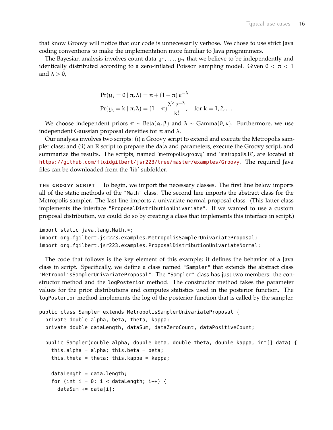that know Groovy will notice that our code is unnecessarily verbose. We chose to use strict Java coding conventions to make the implementation more familiar to Java programmers.

The Bayesian analysis involves count data  $y_1, \ldots, y_n$  that we believe to be independently and identically distributed according to a zero-inflated Poisson sampling model. Given  $0 < \pi < 1$ and  $\lambda > 0$ ,

$$
Pr(y_i = 0 | \pi, \lambda) = \pi + (1 - \pi) e^{-\lambda}
$$
  
 
$$
Pr(y_i = k | \pi, \lambda) = (1 - \pi) \frac{\lambda^k e^{-\lambda}}{k!}, \quad \text{for } k = 1, 2, ...
$$

We choose independent priors  $\pi \sim \text{Beta}(\alpha, \beta)$  and  $\lambda \sim \text{Gamma}(\theta, \kappa)$ . Furthermore, we use independent Gaussian proposal densities for π and  $λ$ .

Our analysis involves two scripts: (i) a Groovy script to extend and execute the Metropolis sampler class; and (ii) an R script to prepare the data and parameters, execute the Groovy script, and summarize the results. The scripts, named 'metropolis.groovy' and 'metropolis.R', are located at <https://github.com/floidgilbert/jsr223/tree/master/examples/Groovy>. The required Java files can be downloaded from the 'lib' subfolder.

**the groovy script** To begin, we import the necessary classes. The first line below imports all of the static methods of the "Math" class. The second line imports the abstract class for the Metropolis sampler. The last line imports a univariate normal proposal class. (This latter class implements the interface "ProposalDistributionUnivariate". If we wanted to use a custom proposal distribution, we could do so by creating a class that implements this interface in script.)

```
import static java.lang.Math.*;
import org.fgilbert.jsr223.examples.MetropolisSamplerUnivariateProposal;
import org.fgilbert.jsr223.examples.ProposalDistributionUnivariateNormal;
```
The code that follows is the key element of this example; it defines the behavior of a Java class in script. Specifically, we define a class named "Sampler" that extends the abstract class "MetropolisSamplerUnivariateProposal". The "Sampler" class has just two members: the constructor method and the logPosterior method. The constructor method takes the parameter values for the prior distributions and computes statistics used in the posterior function. The logPosterior method implements the log of the posterior function that is called by the sampler.

```
public class Sampler extends MetropolisSamplerUnivariateProposal {
  private double alpha, beta, theta, kappa;
  private double dataLength, dataSum, dataZeroCount, dataPositiveCount;
 public Sampler(double alpha, double beta, double theta, double kappa, int[] data) {
    this.alpha = alpha; this.beta = beta;
    this.theta = theta; this.kappa = kappa;
    dataLength = data.length;
    for (int i = 0; i < dataLength; i++) {
     dataSum += data[i];
```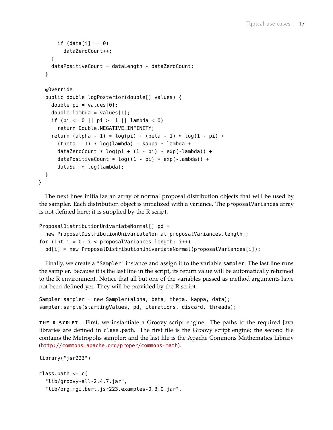```
if (data[i] == 0)dataZeroCount++;
    }
    dataPositiveCount = dataLength - dataZeroCount;
  }
  @Override
  public double logPosterior(double[] values) {
    double pi = values[0];
    double lambda = values[1];
    if (pi <= 0 || pi >= 1 || lambda < 0)
      return Double.NEGATIVE_INFINITY;
    return (alpha - 1) * log(pi) + (beta - 1) * log(1 - pi) +
      (theta - 1) * log(lambda) - kappa * lambda +dataZeroCount * log(pi + (1 - pi) * exp(-lambda)) +
      dataPositiveCount * log((1 - pi) * exp(-lambda)) +dataSum * log(lambda);
  }
}
```
The next lines initialize an array of normal proposal distribution objects that will be used by the sampler. Each distribution object is initialized with a variance. The proposalVariances array is not defined here; it is supplied by the R script.

```
ProposalDistributionUnivariateNormal[] pd =
  new ProposalDistributionUnivariateNormal[proposalVariances.length];
for (int i = 0; i < proposalVariances.length; i++)
  pd[i] = new ProposalDistributionUnivariateNormal(proposalVariances[i]);
```
Finally, we create a "Sampler" instance and assign it to the variable sampler. The last line runs the sampler. Because it is the last line in the script, its return value will be automatically returned to the R environment. Notice that all but one of the variables passed as method arguments have not been defined yet. They will be provided by the R script.

```
Sampler sampler = new Sampler(alpha, beta, theta, kappa, data);
sampler.sample(startingValues, pd, iterations, discard, threads);
```
**the r script** First, we instantiate a Groovy script engine. The paths to the required Java libraries are defined in class.path. The first file is the Groovy script engine; the second file contains the Metropolis sampler; and the last file is the Apache Commons Mathematics Library (<http://commons.apache.org/proper/commons-math>).

```
library("jsr223")
class.path <- c(
  "lib/groovy-all-2.4.7.jar",
  "lib/org.fgilbert.jsr223.examples-0.3.0.jar",
```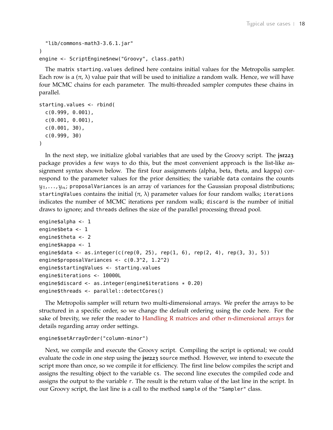```
"lib/commons-math3-3.6.1.jar"
)
engine <- ScriptEngine$new("Groovy", class.path)
```
The matrix starting.values defined here contains initial values for the Metropolis sampler. Each row is a  $(\pi, \lambda)$  value pair that will be used to initialize a random walk. Hence, we will have four MCMC chains for each parameter. The multi-threaded sampler computes these chains in parallel.

```
starting.values <- rbind(
  c(0.999, 0.001),
  c(0.001, 0.001),
  c(0.001, 30),
  c(0.999, 30)
)
```
In the next step, we initialize global variables that are used by the Groovy script. The **jsr223** package provides a few ways to do this, but the most convenient approach is the list-like assignment syntax shown below. The first four assignments (alpha, beta, theta, and kappa) correspond to the parameter values for the prior densities; the variable data contains the counts  $y_1, \ldots, y_n$ ; proposalVariances is an array of variances for the Gaussian proposal distributions; startingValues contains the initial  $(\pi, \lambda)$  parameter values for four random walks; iterations indicates the number of MCMC iterations per random walk; discard is the number of initial draws to ignore; and threads defines the size of the parallel processing thread pool.

```
engine$alpha <- 1
engine$beta <- 1
engine$theta <- 2
engine$kappa <- 1
engine$data <- as.integer(c(rep(0, 25), rep(1, 6), rep(2, 4), rep(3, 3), 5))
engine$proposalVariances <- c(0.3^2, 1.2^2)
engine$startingValues <- starting.values
engine$iterations <- 10000L
engine$discard <- as.integer(engine$iterations * 0.20)
engine$threads <- parallel::detectCores()
```
The Metropolis sampler will return two multi-dimensional arrays. We prefer the arrays to be structured in a specific order, so we change the default ordering using the code here. For the sake of brevity, we refer the reader to [Handling R matrices and other n-dimensional arrays](#page-31-1) for details regarding array order settings.

```
engine$setArrayOrder("column-minor")
```
Next, we compile and execute the Groovy script. Compiling the script is optional; we could evaluate the code in one step using the **jsr223** source method. However, we intend to execute the script more than once, so we compile it for efficiency. The first line below compiles the script and assigns the resulting object to the variable cs. The second line executes the compiled code and assigns the output to the variable r. The result is the return value of the last line in the script. In our Groovy script, the last line is a call to the method sample of the "Sampler" class.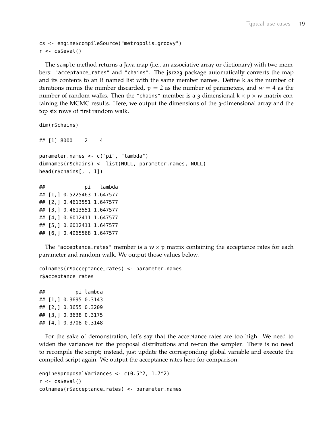```
cs <- engine$compileSource("metropolis.groovy")
r <- cs$eval()
```
The sample method returns a Java map (i.e., an associative array or dictionary) with two members: "acceptance\_rates" and "chains". The **jsr223** package automatically converts the map and its contents to an R named list with the same member names. Define k as the number of iterations minus the number discarded,  $p = 2$  as the number of parameters, and  $w = 4$  as the number of random walks. Then the "chains" member is a 3-dimensional  $k \times p \times w$  matrix containing the MCMC results. Here, we output the dimensions of the 3-dimensional array and the top six rows of first random walk.

```
dim(r$chains)
```
## [1] 8000 2 4 parameter.names <- c("pi", "lambda") dimnames(r\$chains) <- list(NULL, parameter.names, NULL) head(r\$chains[, , 1])

```
## pi lambda
## [1,] 0.5225463 1.647577
## [2,] 0.4613551 1.647577
## [3,] 0.4613551 1.647577
## [4,] 0.6012411 1.647577
## [5,] 0.6012411 1.647577
## [6,] 0.4965568 1.647577
```
The "acceptance\_rates" member is a  $w \times p$  matrix containing the acceptance rates for each parameter and random walk. We output those values below.

colnames(r\$acceptance\_rates) <- parameter.names r\$acceptance\_rates

## pi lambda ## [1,] 0.3695 0.3143 ## [2,] 0.3655 0.3209 ## [3,] 0.3638 0.3175 ## [4,] 0.3708 0.3148

For the sake of demonstration, let's say that the acceptance rates are too high. We need to widen the variances for the proposal distributions and re-run the sampler. There is no need to recompile the script; instead, just update the corresponding global variable and execute the compiled script again. We output the acceptance rates here for comparison.

```
engine$proposalVariances <- c(0.5^2, 1.7^2)
r <- cs$eval()
colnames(r$acceptance_rates) <- parameter.names
```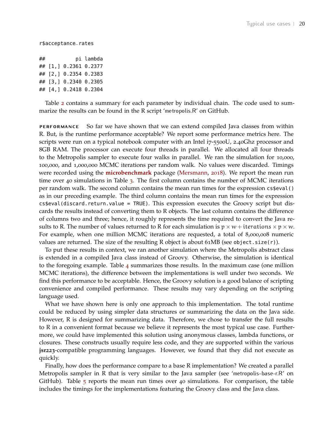r\$acceptance\_rates

| ## |                       | pi lambda |
|----|-----------------------|-----------|
|    | ## [1,] 0.2361 0.2377 |           |
|    | ## [2,] 0.2354 0.2383 |           |
|    | ## [3,] 0.2340 0.2305 |           |
|    | ## [4,] 0.2418 0.2304 |           |

Table [2](#page-20-0) contains a summary for each parameter by individual chain. The code used to summarize the results can be found in the R script 'metropolis.R' on GitHub.

**performance** So far we have shown that we can extend compiled Java classes from within R. But, is the runtime performance acceptable? We report some performance metrics here. The scripts were run on a typical notebook computer with an Intel i7-5500U, 2.40Ghz processor and 8GB RAM. The processor can execute four threads in parallel. We allocated all four threads to the Metropolis sampler to execute four walks in parallel. We ran the simulation for 10,000, 100,000, and 1,000,000 MCMC iterations per random walk. No values were discarded. Timings were recorded using the **[microbenchmark](https://CRAN.R-project.org/package=microbenchmark)** package [\(Mersmann,](#page-69-7) [2018](#page-69-7)). We report the mean run time over 40 simulations in Table [3](#page-20-1). The first column contains the number of MCMC iterations per random walk. The second column contains the mean run times for the expression cs\$eval() as in our preceding example. The third column contains the mean run times for the expression cs\$eval(discard.return.value = TRUE). This expression executes the Groovy script but discards the results instead of converting them to R objects. The last column contains the difference of columns two and three; hence, it roughly represents the time required to convert the Java results to R. The number of values returned to R for each simulation is  $p \times w +$  iterations  $x p \times w$ . For example, when one million MCMC iterations are requested, a total of 8,000,008 numeric values are returned. The size of the resulting R object is about  $61MB$  (see object.size(r)).

To put these results in context, we ran another simulation where the Metropolis abstract class is extended in a compiled Java class instead of Groovy. Otherwise, the simulation is identical to the foregoing example. Table [4](#page-20-2) summarizes those results. In the maximum case (one million MCMC iterations), the difference between the implementations is well under two seconds. We find this performance to be acceptable. Hence, the Groovy solution is a good balance of scripting convenience and compiled performance. These results may vary depending on the scripting language used.

What we have shown here is only one approach to this implementation. The total runtime could be reduced by using simpler data structures or summarizing the data on the Java side. However, R is designed for summarizing data. Therefore, we chose to transfer the full results to R in a convenient format because we believe it represents the most typical use case. Furthermore, we could have implemented this solution using anonymous classes, lambda functions, or closures. These constructs usually require less code, and they are supported within the various **jsr223**-compatible programming languages. However, we found that they did not execute as quickly.

Finally, how does the performance compare to a base R implementation? We created a parallel Metropolis sampler in R that is very similar to the Java sampler (see 'metropolis-base-r.R' on GitHub). Table  $\overline{5}$  $\overline{5}$  $\overline{5}$  reports the mean run times over 40 simulations. For comparison, the table includes the timings for the implementations featuring the Groovy class and the Java class.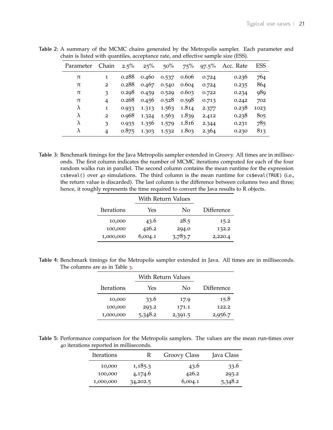| Parameter | Chain          | $2.5\%$ | 25%   | $50\%$ | $75\%$ | $97.5\%$ | Acc. Rate | <b>ESS</b> |
|-----------|----------------|---------|-------|--------|--------|----------|-----------|------------|
| π         | 1              | 0.288   | 0.460 | 0.537  | 0.606  | 0.724    | 0.236     | 764        |
| $\pi$     | $\overline{2}$ | 0.288   | 0.467 | 0.540  | 0.604  | 0.724    | 0.235     | 864        |
| $\pi$     | 3              | 0.298   | 0.459 | 0.529  | 0.603  | 0.722    | 0.234     | 989        |
| $\pi$     | 4              | 0.268   | 0.456 | 0.528  | 0.598  | 0.713    | 0.242     | 702        |
| $\lambda$ | $\mathbf{1}$   | 0.933   | 1.313 | 1.563  | 1.814  | 2.377    | 0.238     | 1023       |
| λ         | $\overline{2}$ | 0.968   | 1.324 | 1.563  | 1.839  | 2.412    | 0.238     | 805        |
| λ         | 3              | 0.935   | 1.356 | 1.579  | 1.816  | 2.344    | 0.231     | 785        |
| λ         | 4              | 0.875   | 1.303 | 1.532  | 1.803  | 2.364    | 0.230     | 813        |

<span id="page-20-0"></span>**Table 2:** A summary of the MCMC chains generated by the Metropolis sampler. Each parameter and chain is listed with quantiles, acceptance rate, and effective sample size (ESS).

<span id="page-20-1"></span>**Table 3:** Benchmark timings for the Java Metropolis sampler extended in Groovy. All times are in milliseconds. The first column indicates the number of MCMC iterations computed for each of the four random walks run in parallel. The second column contains the mean runtime for the expression cs\$eval() over 40 simulations. The third column is the mean runtime for cs\$eval(TRUE) (i.e., the return value is discarded). The last column is the difference between columns two and three; hence, it roughly represents the time required to convert the Java results to R objects.

|            |         | <b>With Return Values</b> |            |  |
|------------|---------|---------------------------|------------|--|
| Iterations | Yes     | Nο                        | Difference |  |
| 10,000     | 43.6    | 28.5                      | 15.2       |  |
| 100,000    | 426.2   | 294.0                     | 132.2      |  |
| 1,000,000  | 6,004.1 | 3,783.7                   | 2,220.4    |  |

<span id="page-20-2"></span>**Table 4:** Benchmark timings for the Metropolis sampler extended in Java. All times are in milliseconds. The columns are as in Table [3](#page-20-1).

|            |         | <b>With Return Values</b> |            |  |
|------------|---------|---------------------------|------------|--|
| Iterations | Yes     | No                        | Difference |  |
| 10,000     | 33.6    | 17.9                      | 15.8       |  |
| 100,000    | 293.2   | 171.1                     | 122.2      |  |
| 1,000,000  | 5,348.2 | 2,391.5                   | 2,956.7    |  |

<span id="page-20-3"></span>**Table 5:** Performance comparison for the Metropolis samplers. The values are the mean run-times over 40 iterations reported in milliseconds.

| Iterations | ĸ        | <b>Groovy Class</b> | Java Class |
|------------|----------|---------------------|------------|
| 10,000     | 1,185.3  | 43.6                | 33.6       |
| 100,000    | 4,174.6  | 426.2               | 293.2      |
| 1,000,000  | 34,202.5 | 6,004.1             | 5,348.2    |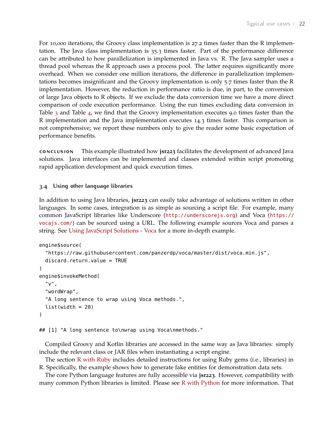For 10,000 iterations, the Groovy class implementation is 27.2 times faster than the R implementation. The Java class implementation is 35.3 times faster. Part of the performance difference can be attributed to how parallelization is implemented in Java vs. R. The Java sampler uses a thread pool whereas the R approach uses a process pool. The latter requires significantly more overhead. When we consider one million iterations, the difference in parallelization implementations becomes insignificant and the Groovy implementation is only 5.7 times faster than the R implementation. However, the reduction in performance ratio is due, in part, to the conversion of large Java objects to R objects. If we exclude the data conversion time we have a more direct comparison of code execution performance. Using the run times excluding data conversion in Table [3](#page-20-1) and Table [4](#page-20-2), we find that the Groovy implementation executes 9.0 times faster than the R implementation and the Java implementation executes 14.3 times faster. This comparison is not comprehensive; we report these numbers only to give the reader some basic expectation of performance benefits.

**conclusion** This example illustrated how **jsr223** facilitates the development of advanced Java solutions. Java interfaces can be implemented and classes extended within script promoting rapid application development and quick execution times.

#### <span id="page-21-0"></span>**3.4 Using other language libraries**

In addition to using Java libraries, **jsr223** can easily take advantage of solutions written in other languages. In some cases, integration is as simple as sourcing a script file. For example, many common JavaScript libraries like Underscore (<http://underscorejs.org>) and Voca ([https://](https://vocajs.com/) [vocajs.com/](https://vocajs.com/)) can be sourced using a URL. The following example sources Voca and parses a string. See [Using JavaScript Solutions - Voca](#page-48-0) for a more in-depth example.

```
engine$source(
  "https://raw.githubusercontent.com/panzerdp/voca/master/dist/voca.min.js",
  discard.return.value = TRUE
)
engine$invokeMethod(
  "v",
  "wordWrap",
  "A long sentence to wrap using Voca methods.",
  list(width = 20))
```
## [1] "A long sentence to\nwrap using Voca\nmethods."

Compiled Groovy and Kotlin libraries are accessed in the same way as Java libraries: simply include the relevant class or JAR files when instantiating a script engine.

The section [R with Ruby](#page-54-0) includes detailed instructions for using Ruby gems (i.e., libraries) in R. Specifically, the example shows how to generate fake entities for demonstration data sets.

The core Python language features are fully accessible via **jsr223**. However, compatibility with many common Python libraries is limited. Please see [R with Python](#page-50-0) for more information. That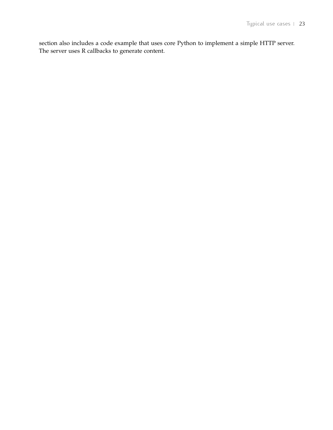section also includes a code example that uses core Python to implement a simple HTTP server. The server uses R callbacks to generate content.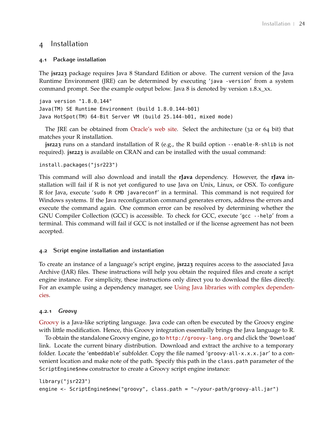## <span id="page-23-0"></span>4 Installation

#### <span id="page-23-1"></span>**4.1 Package installation**

The **jsr223** package requires Java 8 Standard Edition or above. The current version of the Java Runtime Environment (JRE) can be determined by executing 'java -version' from a system command prompt. See the example output below. Java 8 is denoted by version 1.8.x\_xx.

java version "1.8.0\_144" Java(TM) SE Runtime Environment (build 1.8.0\_144-b01) Java HotSpot(TM) 64-Bit Server VM (build 25.144-b01, mixed mode)

The JRE can be obtained from [Oracle's web site.](http://www.oracle.com/technetwork/java/javase/downloads/index.html) Select the architecture (32 or 64 bit) that matches your R installation.

**jsr223** runs on a standard installation of R (e.g., the R build option --enable-R-shlib is not required). **jsr223** is available on CRAN and can be installed with the usual command:

```
install.packages("jsr223")
```
This command will also download and install the **rJava** dependency. However, the **rJava** installation will fail if R is not yet configured to use Java on Unix, Linux, or OSX. To configure R for Java, execute 'sudo R CMD javareconf' in a terminal. This command is not required for Windows systems. If the Java reconfiguration command generates errors, address the errors and execute the command again. One common error can be resolved by determining whether the GNU Compiler Collection (GCC) is accessible. To check for GCC, execute 'gcc --help' from a terminal. This command will fail if GCC is not installed or if the license agreement has not been accepted.

#### <span id="page-23-2"></span>**4.2 Script engine installation and instantiation**

To create an instance of a language's script engine, **jsr223** requires access to the associated Java Archive (JAR) files. These instructions will help you obtain the required files and create a script engine instance. For simplicity, these instructions only direct you to download the files directly. For an example using a dependency manager, see [Using Java libraries with complex dependen](#page-10-0)[cies.](#page-10-0)

#### **4.2.1** *Groovy*

[Groovy](http://groovy-lang.org) is a Java-like scripting language. Java code can often be executed by the Groovy engine with little modification. Hence, this Groovy integration essentially brings the Java language to R.

To obtain the standalone Groovy engine, go to <http://groovy-lang.org> and click the 'Download' link. Locate the current binary distribution. Download and extract the archive to a temporary folder. Locate the 'embeddable' subfolder. Copy the file named 'groovy-all-x.x.x.jar' to a convenient location and make note of the path. Specify this path in the class.path parameter of the ScriptEngine\$new constructor to create a Groovy script engine instance:

```
library("jsr223")
engine <- ScriptEngine$new("groovy", class.path = "~/your-path/groovy-all.jar")
```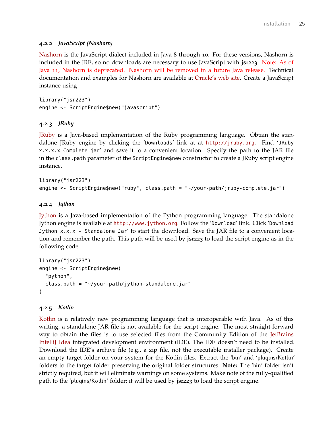#### **4.2.2** *JavaScript (Nashorn)*

[Nashorn](https://docs.oracle.com/javase/8/docs/technotes/guides/scripting/nashorn/) is the JavaScript dialect included in Java 8 through 10. For these versions, Nashorn is included in the JRE, so no downloads are necessary to use JavaScript with **jsr223**. Note: As of Java 11, Nashorn is deprecated. Nashorn will be removed in a future Java release. Technical documentation and examples for Nashorn are available at [Oracle's web site.](https://docs.oracle.com/javase/8/docs/technotes/guides/scripting/nashorn/) Create a JavaScript instance using

library("jsr223") engine <- ScriptEngine\$new("javascript")

#### **4.2.3** *JRuby*

[JRuby](http://jruby.org) is a Java-based implementation of the Ruby programming language. Obtain the standalone JRuby engine by clicking the 'Downloads' link at at <http://jruby.org>. Find 'JRuby x.x.x.x Complete.jar' and save it to a convenient location. Specify the path to the JAR file in the class.path parameter of the ScriptEngine\$new constructor to create a JRuby script engine instance.

```
library("jsr223")
engine <- ScriptEngine$new("ruby", class.path = "~/your-path/jruby-complete.jar")
```
#### **4.2.4** *Jython*

[Jython](http://www.jython.org) is a Java-based implementation of the Python programming language. The standalone Jython engine is available at <http://www.jython.org>. Follow the 'Download' link. Click 'Download Jython x.x.x - Standalone Jar' to start the download. Save the JAR file to a convenient location and remember the path. This path will be used by **jsr223** to load the script engine as in the following code.

```
library("jsr223")
engine <- ScriptEngine$new(
  "python",
  class.path = "~/your-path/jython-standalone.jar"
)
```
#### **4.2.5** *Kotlin*

[Kotlin](https://kotlinlang.org/) is a relatively new programming language that is interoperable with Java. As of this writing, a standalone JAR file is not available for the script engine. The most straight-forward way to obtain the files is to use selected files from the Community Edition of the [JetBrains](https://www.jetbrains.com/idea/) [IntelliJ Idea](https://www.jetbrains.com/idea/) integrated development environment (IDE). The IDE doesn't need to be installed. Download the IDE's archive file (e.g., a zip file, not the executable installer package). Create an empty target folder on your system for the Kotlin files. Extract the 'bin' and 'plugins/Kotlin' folders to the target folder preserving the original folder structures. **Note:** The 'bin' folder isn't strictly required, but it will eliminate warnings on some systems. Make note of the fully-qualified path to the 'plugins/Kotlin' folder; it will be used by **jsr223** to load the script engine.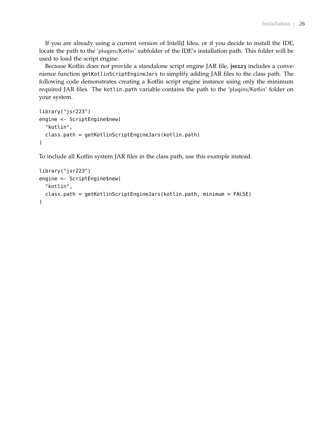If you are already using a current version of IntelliJ Idea, or if you decide to install the IDE, locate the path to the 'plugins/Kotlin' subfolder of the IDE's installation path. This folder will be used to load the script engine.

Because Kotlin does not provide a standalone script engine JAR file, **jsr223** includes a convenience function getKotlinScriptEngineJars to simplify adding JAR files to the class path. The following code demonstrates creating a Kotlin script engine instance using only the minimum required JAR files. The kotlin.path variable contains the path to the 'plugins/Kotlin' folder on your system.

```
library("jsr223")
engine <- ScriptEngine$new(
  "kotlin",
  class.path = getKotlinScriptEngineJars(kotlin.path)
\lambda
```
To include all Kotlin system JAR files in the class path, use this example instead.

```
library("jsr223")
engine <- ScriptEngine$new(
 "kotlin",
 class.path = getKotlinScriptEngineJars(kotlin.path, minimum = FALSE)
)
```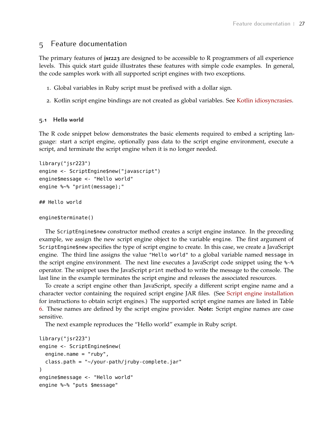## <span id="page-26-0"></span>5 Feature documentation

The primary features of **jsr223** are designed to be accessible to R programmers of all experience levels. This quick start guide illustrates these features with simple code examples. In general, the code samples work with all supported script engines with two exceptions.

- 1. Global variables in Ruby script must be prefixed with a dollar sign.
- 2. Kotlin script engine bindings are not created as global variables. See [Kotlin idiosyncrasies.](#page-58-1)

#### <span id="page-26-1"></span>**5.1 Hello world**

The R code snippet below demonstrates the basic elements required to embed a scripting language: start a script engine, optionally pass data to the script engine environment, execute a script, and terminate the script engine when it is no longer needed.

```
library("jsr223")
engine <- ScriptEngine$new("javascript")
engine$message <- "Hello world"
engine %~% "print(message);"
## Hello world
engine$terminate()
```
The ScriptEngine\$new constructor method creates a script engine instance. In the preceding example, we assign the new script engine object to the variable engine. The first argument of ScriptEngine\$new specifies the type of script engine to create. In this case, we create a JavaScript engine. The third line assigns the value "Hello world" to a global variable named message in the script engine environment. The next line executes a JavaScript code snippet using the %∼% operator. The snippet uses the JavaScript print method to write the message to the console. The last line in the example terminates the script engine and releases the associated resources.

To create a script engine other than JavaScript, specify a different script engine name and a character vector containing the required script engine JAR files. (See [Script engine installation](#page-23-2) for instructions to obtain script engines.) The supported script engine names are listed in Table [6](#page-27-1). These names are defined by the script engine provider. **Note:** Script engine names are case sensitive.

The next example reproduces the "Hello world" example in Ruby script.

```
library("jsr223")
engine <- ScriptEngine$new(
  engine.name = "ruby",
  class.path = "~/your-path/jruby-complete.jar"
\lambdaengine$message <- "Hello world"
engine %~% "puts $message"
```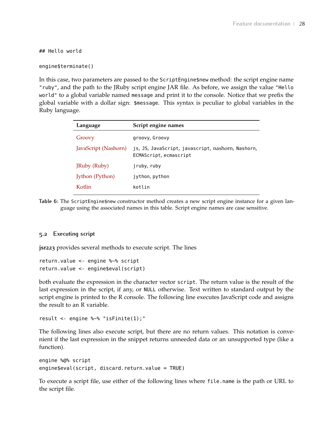## Hello world

```
engine$terminate()
```
In this case, two parameters are passed to the ScriptEngine\$new method: the script engine name "ruby", and the path to the JRuby script engine JAR file. As before, we assign the value "Hello world" to a global variable named message and print it to the console. Notice that we prefix the global variable with a dollar sign: \$message. This syntax is peculiar to global variables in the Ruby language.

<span id="page-27-1"></span>

| Language             | Script engine names                                                         |
|----------------------|-----------------------------------------------------------------------------|
| Groovy               | groovy, Groovy                                                              |
| JavaScript (Nashorn) | js, JS, JavaScript, javascript, nashorn, Nashorn,<br>ECMAScript, ecmascript |
| JRuby (Ruby)         | jruby, ruby                                                                 |
| Jython (Python)      | jython, python                                                              |
| Kotlin.              | kotlin                                                                      |

**Table 6:** The ScriptEngine\$new constructor method creates a new script engine instance for a given language using the associated names in this table. Script engine names are case sensitive.

#### <span id="page-27-0"></span>**5.2 Executing script**

**jsr223** provides several methods to execute script. The lines

```
return.value <- engine %~% script
return.value <- engine$eval(script)
```
both evaluate the expression in the character vector script. The return value is the result of the last expression in the script, if any, or NULL otherwise. Text written to standard output by the script engine is printed to the R console. The following line executes JavaScript code and assigns the result to an R variable.

```
result <- engine %~% "isFinite(1);"
```
The following lines also execute script, but there are no return values. This notation is convenient if the last expression in the snippet returns unneeded data or an unsupported type (like a function).

```
engine %@% script
engine$eval(script, discard.return.value = TRUE)
```
To execute a script file, use either of the following lines where file.name is the path or URL to the script file.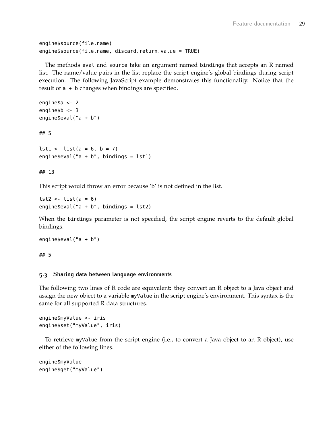```
engine$source(file.name)
engine$source(file.name, discard.return.value = TRUE)
```
The methods eval and source take an argument named bindings that accepts an R named list. The name/value pairs in the list replace the script engine's global bindings during script execution. The following JavaScript example demonstrates this functionality. Notice that the result of a + b changes when bindings are specified.

```
engine$a <- 2
engine$b <- 3
engine$eval("a + b")
## 5
```
 $lst1$  <-  $list(a = 6, b = 7)$ engine  $\text{eval}("a + b", \text{ bindings} = \text{lst1})$ 

#### ## 13

This script would throw an error because 'b' is not defined in the list.

```
lst2 \le- list(a = 6)engine$eval("a + b", binding = lst2)
```
When the bindings parameter is not specified, the script engine reverts to the default global bindings.

```
engine$eval("a + b")
```
<span id="page-28-0"></span>## 5

#### **5.3 Sharing data between language environments**

The following two lines of R code are equivalent: they convert an R object to a Java object and assign the new object to a variable myValue in the script engine's environment. This syntax is the same for all supported R data structures.

```
engine$myValue <- iris
engine$set("myValue", iris)
```
To retrieve myValue from the script engine (i.e., to convert a Java object to an R object), use either of the following lines.

```
engine$myValue
engine$get("myValue")
```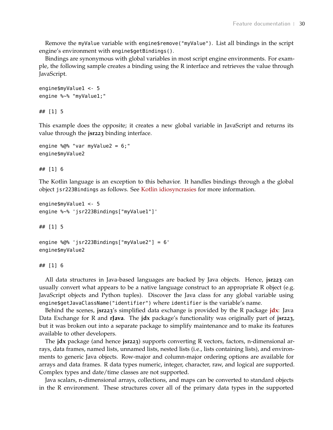Remove the myValue variable with engine\$remove("myValue"). List all bindings in the script engine's environment with engine\$getBindings().

Bindings are synonymous with global variables in most script engine environments. For example, the following sample creates a binding using the R interface and retrieves the value through JavaScript.

```
engine$myValue1 <- 5
engine %~% "myValue1;"
```
## [1] 5

This example does the opposite; it creates a new global variable in JavaScript and returns its value through the **jsr223** binding interface.

```
engine %@% "var myValue2 = 6;"
engine$myValue2
```
## [1] 6

The Kotlin language is an exception to this behavior. It handles bindings through a the global object jsr223Bindings as follows. See [Kotlin idiosyncrasies](#page-58-1) for more information.

```
engine$myValue1 <- 5
engine %~% 'jsr223Bindings["myValue1"]'
```
## [1] 5

```
engine %@% 'jsr223Bindings["myValue2"] = 6'
engine$myValue2
```
## [1] 6

All data structures in Java-based languages are backed by Java objects. Hence, **jsr223** can usually convert what appears to be a native language construct to an appropriate R object (e.g. JavaScript objects and Python tuples). Discover the Java class for any global variable using engine\$getJavaClassName("identifier") where identifier is the variable's name.

Behind the scenes, **jsr223**'s simplified data exchange is provided by the R package **[jdx](https://CRAN.R-project.org/package=jdx)**: Java Data Exchange for R and **rJava**. The **jdx** package's functionality was originally part of **jsr223**, but it was broken out into a separate package to simplify maintenance and to make its features available to other developers.

The **jdx** package (and hence **jsr223**) supports converting R vectors, factors, n-dimensional arrays, data frames, named lists, unnamed lists, nested lists (i.e., lists containing lists), and environments to generic Java objects. Row-major and column-major ordering options are available for arrays and data frames. R data types numeric, integer, character, raw, and logical are supported. Complex types and date/time classes are not supported.

Java scalars, n-dimensional arrays, collections, and maps can be converted to standard objects in the R environment. These structures cover all of the primary data types in the supported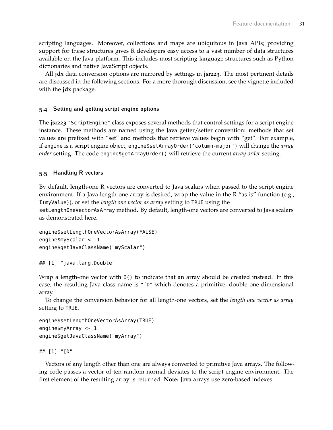scripting languages. Moreover, collections and maps are ubiquitous in Java APIs; providing support for these structures gives R developers easy access to a vast number of data structures available on the Java platform. This includes most scripting language structures such as Python dictionaries and native JavaScript objects.

All **jdx** data conversion options are mirrored by settings in **jsr223**. The most pertinent details are discussed in the following sections. For a more thorough discussion, see the vignette included with the **jdx** package.

#### <span id="page-30-0"></span>**5.4 Setting and getting script engine options**

The **jsr223** "ScriptEngine" class exposes several methods that control settings for a script engine instance. These methods are named using the Java getter/setter convention: methods that set values are prefixed with "set" and methods that retrieve values begin with "get". For example, if engine is a script engine object, engine\$setArrayOrder('column-major') will change the *array order* setting. The code engine\$getArrayOrder() will retrieve the current *array order* setting.

## <span id="page-30-1"></span>**5.5 Handling R vectors**

By default, length-one R vectors are converted to Java scalars when passed to the script engine environment. If a Java length-one array is desired, wrap the value in the R "as-is" function (e.g., I(myValue)), or set the *length one vector as array* setting to TRUE using the

setLengthOneVectorAsArray method. By default, length-one vectors are converted to Java scalars as demonstrated here.

```
engine$setLengthOneVectorAsArray(FALSE)
engine$myScalar <- 1
engine$getJavaClassName("myScalar")
```

```
## [1] "java.lang.Double"
```
Wrap a length-one vector with I() to indicate that an array should be created instead. In this case, the resulting Java class name is "[D" which denotes a primitive, double one-dimensional array.

To change the conversion behavior for all length-one vectors, set the *length one vector as array* setting to TRUE.

```
engine$setLengthOneVectorAsArray(TRUE)
engine$myArray <- 1
engine$getJavaClassName("myArray")
```
## [1] "[D"

Vectors of any length other than one are always converted to primitive Java arrays. The following code passes a vector of ten random normal deviates to the script engine environment. The first element of the resulting array is returned. **Note:** Java arrays use zero-based indexes.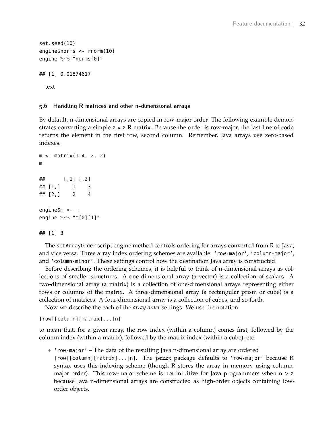```
set.seed(10)
engine$norms <- rnorm(10)
engine %~% "norms[0]"
## [1] 0.01874617
 text
```
#### <span id="page-31-1"></span><span id="page-31-0"></span>**5.6 Handling R matrices and other n-dimensional arrays**

By default, n-dimensional arrays are copied in row-major order. The following example demonstrates converting a simple 2 x 2 R matrix. Because the order is row-major, the last line of code returns the element in the first row, second column. Remember, Java arrays use zero-based indexes.

```
m <- matrix(1:4, 2, 2)
m
\# \# [, 1] [, 2]
\# \# [1,] 1 3
## [2,] 2 4
engine$m <- m
engine %~% "m[0][1]"
```
#### ## [1] 3

The setArrayOrder script engine method controls ordering for arrays converted from R to Java, and vice versa. Three array index ordering schemes are available: 'row-major', 'column-major', and 'column-minor'. These settings control how the destination Java array is constructed.

Before describing the ordering schemes, it is helpful to think of n-dimensional arrays as collections of smaller structures. A one-dimensional array (a vector) is a collection of scalars. A two-dimensional array (a matrix) is a collection of one-dimensional arrays representing either rows or columns of the matrix. A three-dimensional array (a rectangular prism or cube) is a collection of matrices. A four-dimensional array is a collection of cubes, and so forth.

Now we describe the each of the *array order* settings. We use the notation

```
[row][column][matrix]...[n]
```
to mean that, for a given array, the row index (within a column) comes first, followed by the column index (within a matrix), followed by the matrix index (within a cube), etc.

• 'row-major' – The data of the resulting Java n-dimensional array are ordered [row][column][matrix]...[n]. The **jsr223** package defaults to 'row-major' because R syntax uses this indexing scheme (though R stores the array in memory using columnmajor order). This row-major scheme is not intuitive for Java programmers when  $n > 2$ because Java n-dimensional arrays are constructed as high-order objects containing loworder objects.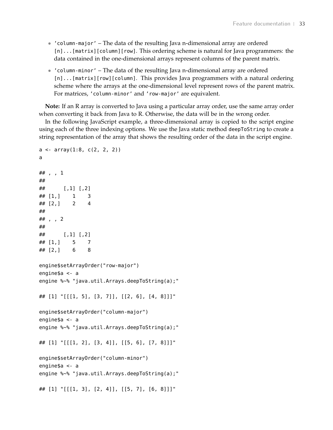- 'column-major' The data of the resulting Java n-dimensional array are ordered [n]...[matrix][column][row]. This ordering scheme is natural for Java programmers: the data contained in the one-dimensional arrays represent columns of the parent matrix.
- 'column-minor' The data of the resulting Java n-dimensional array are ordered [n]...[matrix][row][column]. This provides Java programmers with a natural ordering scheme where the arrays at the one-dimensional level represent rows of the parent matrix. For matrices, 'column-minor' and 'row-major' are equivalent.

**Note:** If an R array is converted to Java using a particular array order, use the same array order when converting it back from Java to R. Otherwise, the data will be in the wrong order.

In the following JavaScript example, a three-dimensional array is copied to the script engine using each of the three indexing options. We use the Java static method deepToString to create a string representation of the array that shows the resulting order of the data in the script engine.

```
a \leq -\arctan(1:8, c(2, 2, 2))a
## , , 1
##
## [,1] [,2]
\# \# [1,] 1 3
\# \# [2,] 2 4
##
## , , 2
##
\# \# [, 1] [, 2]
\# \# [1,] 5 7
\# \# [2,] 6 8
engine$setArrayOrder("row-major")
engine$a <- a
engine %~% "java.util.Arrays.deepToString(a);"
## [1] "[[[1, 5], [3, 7]], [[2, 6], [4, 8]]]"
engine$setArrayOrder("column-major")
engine$a <- a
engine %~% "java.util.Arrays.deepToString(a);"
## [1] "[[[1, 2], [3, 4]], [[5, 6], [7, 8]]]"
engine$setArrayOrder("column-minor")
engine$a <- a
engine %~% "java.util.Arrays.deepToString(a);"
## [1] "[[[1, 3], [2, 4]], [[5, 7], [6, 8]]]"
```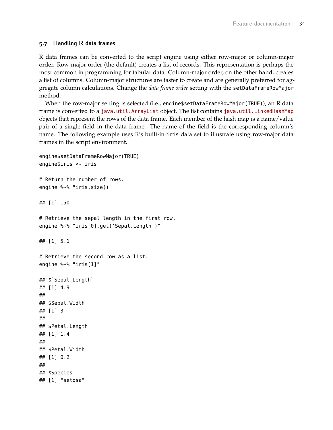#### **5.7 Handling R data frames**

R data frames can be converted to the script engine using either row-major or column-major order. Row-major order (the default) creates a list of records. This representation is perhaps the most common in programming for tabular data. Column-major order, on the other hand, creates a list of columns. Column-major structures are faster to create and are generally preferred for aggregate column calculations. Change the *data frame order* setting with the setDataFrameRowMajor method.

When the row-major setting is selected (i.e., engine\$setDataFrameRowMajor(TRUE)), an R data frame is converted to a [java.util.ArrayList](https://docs.oracle.com/javase/8/docs/api/java/util/ArrayList.html) object. The list contains [java.util.LinkedHashMap](https://docs.oracle.com/javase/8/docs/api/java/util/LinkedHashMap.html) objects that represent the rows of the data frame. Each member of the hash map is a name/value pair of a single field in the data frame. The name of the field is the corresponding column's name. The following example uses R's built-in iris data set to illustrate using row-major data frames in the script environment.

```
engine$setDataFrameRowMajor(TRUE)
engine$iris <- iris
# Return the number of rows.
engine %~% "iris.size()"
## [1] 150
# Retrieve the sepal length in the first row.
engine %~% "iris[0].get('Sepal.Length')"
## [1] 5.1
# Retrieve the second row as a list.
engine %~% "iris[1]"
## $`Sepal.Length`
## [1] 4.9
##
## $Sepal.Width
## [1] 3
##
## $Petal.Length
## [1] 1.4
##
## $Petal.Width
## [1] 0.2
##
## $Species
```

```
## [1] "setosa"
```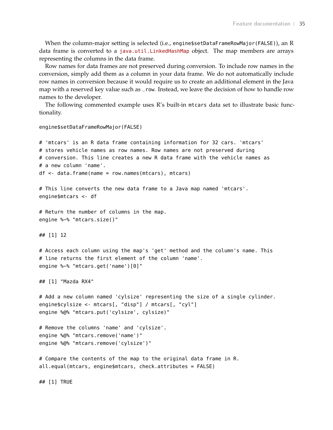When the column-major setting is selected (i.e., engine\$setDataFrameRowMajor(FALSE)), an R data frame is converted to a [java.util.LinkedHashMap](https://docs.oracle.com/javase/8/docs/api/java/util/LinkedHashMap.html) object. The map members are arrays representing the columns in the data frame.

Row names for data frames are not preserved during conversion. To include row names in the conversion, simply add them as a column in your data frame. We do not automatically include row names in conversion because it would require us to create an additional element in the Java map with a reserved key value such as \_row. Instead, we leave the decision of how to handle row names to the developer.

The following commented example uses R's built-in mtcars data set to illustrate basic functionality.

```
engine$setDataFrameRowMajor(FALSE)
# 'mtcars' is an R data frame containing information for 32 cars. 'mtcars'
# stores vehicle names as row names. Row names are not preserved during
# conversion. This line creates a new R data frame with the vehicle names as
# a new column 'name'.
df <- data.frame(name = row.names(mtcars), mtcars)
# This line converts the new data frame to a Java map named 'mtcars'.
engine$mtcars <- df
# Return the number of columns in the map.
engine %~% "mtcars.size()"
## [1] 12
# Access each column using the map's 'get' method and the column's name. This
# line returns the first element of the column 'name'.
engine %~% "mtcars.get('name')[0]"
## [1] "Mazda RX4"
# Add a new column named 'cylsize' representing the size of a single cylinder.
engine$cylsize <- mtcars[, "disp"] / mtcars[, "cyl"]
engine %@% "mtcars.put('cylsize', cylsize)"
# Remove the columns 'name' and 'cylsize'.
engine %@% "mtcars.remove('name')"
engine %@% "mtcars.remove('cylsize')"
# Compare the contents of the map to the original data frame in R.
all.equal(mtcars, engine$mtcars, check.attributes = FALSE)
```
## [1] TRUE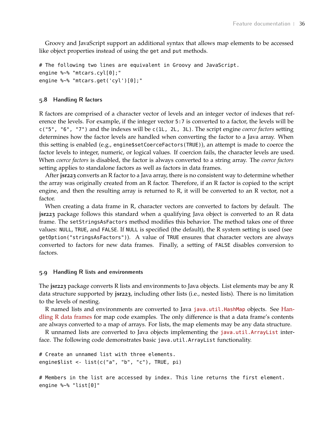Groovy and JavaScript support an additional syntax that allows map elements to be accessed like object properties instead of using the get and put methods.

```
# The following two lines are equivalent in Groovy and JavaScript.
engine %~% "mtcars.cyl[0];"
engine %~% "mtcars.get('cyl')[0];"
```
#### <span id="page-35-0"></span>**5.8 Handling R factors**

R factors are comprised of a character vector of levels and an integer vector of indexes that reference the levels. For example, if the integer vector 5:7 is converted to a factor, the levels will be c("5", "6", "7") and the indexes will be c(1L, 2L, 3L). The script engine *coerce factors* setting determines how the factor levels are handled when converting the factor to a Java array. When this setting is enabled (e.g., engine\$setCoerceFactors(TRUE)), an attempt is made to coerce the factor levels to integer, numeric, or logical values. If coercion fails, the character levels are used. When *coerce factors* is disabled, the factor is always converted to a string array. The *coerce factors* setting applies to standalone factors as well as factors in data frames.

After **jsr223** converts an R factor to a Java array, there is no consistent way to determine whether the array was originally created from an R factor. Therefore, if an R factor is copied to the script engine, and then the resulting array is returned to R, it will be converted to an R vector, not a factor.

When creating a data frame in R, character vectors are converted to factors by default. The **jsr223** package follows this standard when a qualifying Java object is converted to an R data frame. The setStringsAsFactors method modifies this behavior. The method takes one of three values: NULL, TRUE, and FALSE. If NULL is specified (the default), the R system setting is used (see getOption("stringsAsFactors")). A value of TRUE ensures that character vectors are always converted to factors for new data frames. Finally, a setting of FALSE disables conversion to factors.

#### <span id="page-35-1"></span>**5.9 Handling R lists and environments**

The **jsr223** package converts R lists and environments to Java objects. List elements may be any R data structure supported by **jsr223**, including other lists (i.e., nested lists). There is no limitation to the levels of nesting.

R named lists and environments are converted to Java [java.util.HashMap](https://docs.oracle.com/javase/8/docs/api/java/util/HashMap.html) objects. See [Han](#page-32-0)[dling R data frames](#page-32-0) for map code examples. The only difference is that a data frame's contents are always converted to a map of arrays. For lists, the map elements may be any data structure.

R unnamed lists are converted to Java objects implementing the [java.util.ArrayList](https://docs.oracle.com/javase/8/docs/api/java/util/ArrayList.html) interface. The following code demonstrates basic java.util.ArrayList functionality.

```
# Create an unnamed list with three elements.
engine$list <- list(c("a", "b", "c"), TRUE, pi)
```

```
# Members in the list are accessed by index. This line returns the first element.
engine %~% "list[0]"
```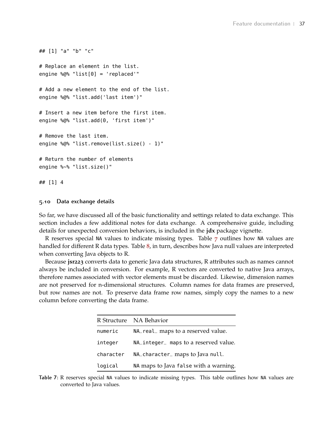```
## [1] "a" "b" "c"
# Replace an element in the list.
engine \mathcal{A} \otimes \mathcal{A} "list[0] = 'replaced'"
# Add a new element to the end of the list.
engine %@% "list.add('last item')"
# Insert a new item before the first item.
engine %@% "list.add(0, 'first item')"
# Remove the last item.
engine %@% "list.remove(list.size() - 1)"
# Return the number of elements
engine %~% "list.size()"
## [1] 4
```
#### <span id="page-36-0"></span>**5.10 Data exchange details**

So far, we have discussed all of the basic functionality and settings related to data exchange. This section includes a few additional notes for data exchange. A comprehensive guide, including details for unexpected conversion behaviors, is included in the **jdx** package vignette.

R reserves special NA values to indicate missing types. Table [7](#page-36-1) outlines how NA values are handled for different R data types. Table [8](#page-37-0), in turn, describes how Java null values are interpreted when converting Java objects to R.

<span id="page-36-1"></span>Because **jsr223** converts data to generic Java data structures, R attributes such as names cannot always be included in conversion. For example, R vectors are converted to native Java arrays, therefore names associated with vector elements must be discarded. Likewise, dimension names are not preserved for n-dimensional structures. Column names for data frames are preserved, but row names are not. To preserve data frame row names, simply copy the names to a new column before converting the data frame.

|           | R Structure NA Behavior               |
|-----------|---------------------------------------|
| numeric   | NA_real_ maps to a reserved value.    |
| integer   | NA_integer_ maps to a reserved value. |
| character | NA_character_ maps to Java null.      |
| logical   | NA maps to Java false with a warning. |

**Table 7:** R reserves special NA values to indicate missing types. This table outlines how NA values are converted to Java values.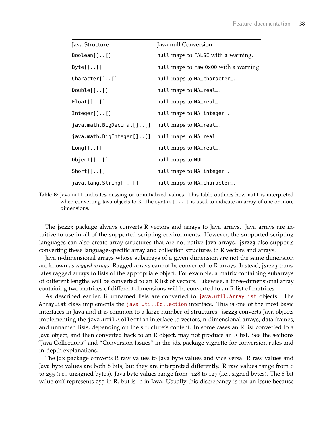<span id="page-37-0"></span>

| Java Structure           | Java null Conversion                  |
|--------------------------|---------------------------------------|
| $Boolean[]$ $[]$         | null maps to FALSE with a warning.    |
| $Byte[]$ $[]$            | null maps to raw 0x00 with a warning. |
| $Character[]$            | null maps to NA_character_.           |
| $Double[]$ $[]$          | null maps to NA_real                  |
| $Float[]$                | null maps to NA_real                  |
| Inter[][]                | null maps to NA_integer_.             |
| java.math.BigDecimal[][] | null maps to NA_real                  |
| java.math.BigInteger[][] | null maps to NA_real_.                |
| $Long[]$ $[]$            | null maps to NA_real                  |
| $Object[]$ $[]$          | null maps to NULL.                    |
| $Short[]$ $[]$           | null maps to NA_integer_.             |
| java.lang(String[][]     | null maps to NA_character_.           |

**Table 8:** Java null indicates missing or uninitialized values. This table outlines how null is interpreted when converting Java objects to R. The syntax  $[ ] . . [ ]$  is used to indicate an array of one or more dimensions.

The **jsr223** package always converts R vectors and arrays to Java arrays. Java arrays are intuitive to use in all of the supported scripting environments. However, the supported scripting languages can also create array structures that are not native Java arrays. **jsr223** also supports converting these language-specific array and collection structures to R vectors and arrays.

Java n-dimensional arrays whose subarrays of a given dimension are not the same dimension are known as *ragged arrays*. Ragged arrays cannot be converted to R arrays. Instead, **jsr223** translates ragged arrays to lists of the appropriate object. For example, a matrix containing subarrays of different lengths will be converted to an R list of vectors. Likewise, a three-dimensional array containing two matrices of different dimensions will be converted to an R list of matrices.

As described earlier, R unnamed lists are converted to [java.util.ArrayList](https://docs.oracle.com/javase/8/docs/api/java/util/ArrayList.html) objects. The ArrayList class implements the [java.util.Collection](https://docs.oracle.com/javase/8/docs/api/java/util/Collection.html) interface. This is one of the most basic interfaces in Java and it is common to a large number of structures. **jsr223** converts Java objects implementing the java.util.Collection interface to vectors, n-dimensional arrays, data frames, and unnamed lists, depending on the structure's content. In some cases an R list converted to a Java object, and then converted back to an R object, may not produce an R list. See the sections "Java Collections" and "Conversion Issues" in the **jdx** package vignette for conversion rules and in-depth explanations.

The jdx package converts R raw values to Java byte values and vice versa. R raw values and Java byte values are both 8 bits, but they are interpreted differently. R raw values range from o to 255 (i.e., unsigned bytes). Java byte values range from -128 to 127 (i.e., signed bytes). The 8-bit value oxff represents 255 in R, but is -1 in Java. Usually this discrepancy is not an issue because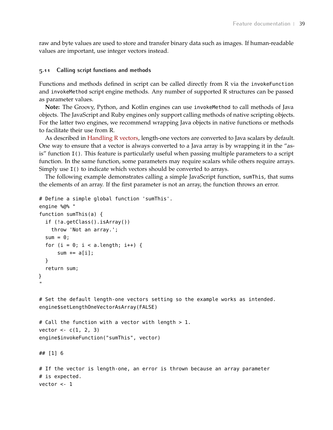raw and byte values are used to store and transfer binary data such as images. If human-readable values are important, use integer vectors instead.

#### <span id="page-38-0"></span>**5.11 Calling script functions and methods**

Functions and methods defined in script can be called directly from R via the invokeFunction and invokeMethod script engine methods. Any number of supported R structures can be passed as parameter values.

**Note:** The Groovy, Python, and Kotlin engines can use invokeMethod to call methods of Java objects. The JavaScript and Ruby engines only support calling methods of native scripting objects. For the latter two engines, we recommend wrapping Java objects in native functions or methods to facilitate their use from R.

As described in [Handling R vectors,](#page-30-1) length-one vectors are converted to Java scalars by default. One way to ensure that a vector is always converted to a Java array is by wrapping it in the "asis" function I(). This feature is particularly useful when passing multiple parameters to a script function. In the same function, some parameters may require scalars while others require arrays. Simply use I() to indicate which vectors should be converted to arrays.

The following example demonstrates calling a simple JavaScript function, sumThis, that sums the elements of an array. If the first parameter is not an array, the function throws an error.

```
# Define a simple global function 'sumThis'.
engine %@% "
function sumThis(a) {
  if (!a.getClass().isArray())
   throw 'Not an array.';
  sum = 0;
  for (i = 0; i < a.length; i++) {
      sum += a[i];}
  return sum;
}
"
# Set the default length-one vectors setting so the example works as intended.
engine$setLengthOneVectorAsArray(FALSE)
# Call the function with a vector with length > 1.
vector < -c(1, 2, 3)engine$invokeFunction("sumThis", vector)
```
## [1] 6

# If the vector is length-one, an error is thrown because an array parameter # is expected. vector <- 1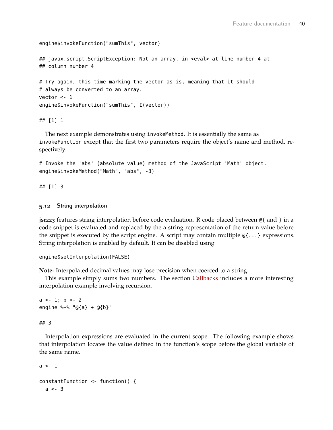```
engine$invokeFunction("sumThis", vector)
## javax.script.ScriptException: Not an array. in <eval> at line number 4 at
## column number 4
# Try again, this time marking the vector as-is, meaning that it should
# always be converted to an array.
vector <- 1
engine$invokeFunction("sumThis", I(vector))
```
## [1] 1

The next example demonstrates using invokeMethod. It is essentially the same as invokeFunction except that the first two parameters require the object's name and method, respectively.

```
# Invoke the 'abs' (absolute value) method of the JavaScript 'Math' object.
engine$invokeMethod("Math", "abs", -3)
```
## [1] 3

#### <span id="page-39-0"></span>**5.12 String interpolation**

**jsr223** features string interpolation before code evaluation. R code placed between @{ and } in a code snippet is evaluated and replaced by the a string representation of the return value before the snippet is executed by the script engine. A script may contain multiple @{...} expressions. String interpolation is enabled by default. It can be disabled using

```
engine$setInterpolation(FALSE)
```
**Note:** Interpolated decimal values may lose precision when coerced to a string.

This example simply sums two numbers. The section [Callbacks](#page-40-0) includes a more interesting interpolation example involving recursion.

```
a \le -1; b \le -2engine %~% "@{a} + @{b}"
```
#### ## 3

Interpolation expressions are evaluated in the current scope. The following example shows that interpolation locates the value defined in the function's scope before the global variable of the same name.

```
a \leq -1constantFunction <- function() {
  a \le -3
```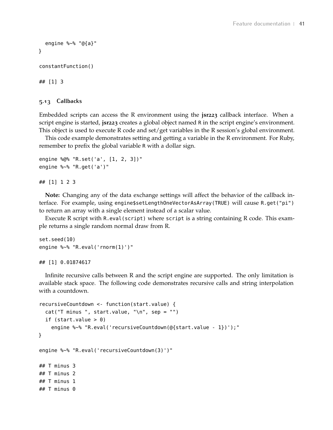```
engine %~% "@{a}"
}
constantFunction()
## [1] 3
```
#### <span id="page-40-0"></span>**5.13 Callbacks**

Embedded scripts can access the R environment using the **jsr223** callback interface. When a script engine is started, **jsr223** creates a global object named R in the script engine's environment. This object is used to execute R code and set/get variables in the R session's global environment.

This code example demonstrates setting and getting a variable in the R environment. For Ruby, remember to prefix the global variable R with a dollar sign.

```
engine %@% "R.set('a', [1, 2, 3])"
engine %~% "R.get('a')"
```
#### ## [1] 1 2 3

**Note:** Changing any of the data exchange settings will affect the behavior of the callback interface. For example, using engine\$setLengthOneVectorAsArray(TRUE) will cause R.get("pi") to return an array with a single element instead of a scalar value.

Execute R script with R.eval(script) where script is a string containing R code. This example returns a single random normal draw from R.

```
set.seed(10)
engine %~% "R.eval('rnorm(1)')"
```
## [1] 0.01874617

Infinite recursive calls between R and the script engine are supported. The only limitation is available stack space. The following code demonstrates recursive calls and string interpolation with a countdown.

```
recursiveCountdown <- function(start.value) {
  cat("T minus", start.value, "\n", sep = "")if (start.value > 0)
    engine %~% "R.eval('recursiveCountdown(@{start.value - 1})');"
}
engine %~% "R.eval('recursiveCountdown(3)')"
## T minus 3
## T minus 2
## T minus 1
## T minus 0
```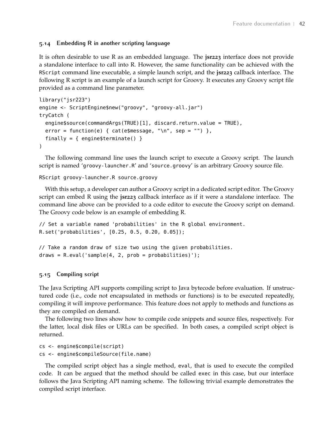### **5.14 Embedding R in another scripting language**

It is often desirable to use R as an embedded language. The **jsr223** interface does not provide a standalone interface to call into R. However, the same functionality can be achieved with the RScript command line executable, a simple launch script, and the **jsr223** callback interface. The following R script is an example of a launch script for Groovy. It executes any Groovy script file provided as a command line parameter.

```
library("jsr223")
engine <- ScriptEngine$new("groovy", "groovy-all.jar")
tryCatch (
 engine$source(commandArgs(TRUE)[1], discard.return.value = TRUE),
 error = function(e) { cat(e$message, "\\n", sep = "") },finally = { engine$terminate() }
)
```
The following command line uses the launch script to execute a Groovy script. The launch script is named 'groovy-launcher.R' and 'source.groovy' is an arbitrary Groovy source file.

#### RScript groovy-launcher.R source.groovy

With this setup, a developer can author a Groovy script in a dedicated script editor. The Groovy script can embed R using the **jsr223** callback interface as if it were a standalone interface. The command line above can be provided to a code editor to execute the Groovy script on demand. The Groovy code below is an example of embedding R.

```
// Set a variable named 'probabilities' in the R global environment.
R.set('probabilities', [0.25, 0.5, 0.20, 0.05]);
```

```
// Take a random draw of size two using the given probabilities.
draws = R.event('sample(4, 2, prob = probabilities)');
```
#### <span id="page-41-0"></span>**5.15 Compiling script**

The Java Scripting API supports compiling script to Java bytecode before evaluation. If unstructured code (i.e., code not encapsulated in methods or functions) is to be executed repeatedly, compiling it will improve performance. This feature does not apply to methods and functions as they are compiled on demand.

The following two lines show how to compile code snippets and source files, respectively. For the latter, local disk files or URLs can be specified. In both cases, a compiled script object is returned.

```
cs <- engine$compile(script)
cs <- engine$compileSource(file.name)
```
The compiled script object has a single method, eval, that is used to execute the compiled code. It can be argued that the method should be called exec in this case, but our interface follows the Java Scripting API naming scheme. The following trivial example demonstrates the compiled script interface.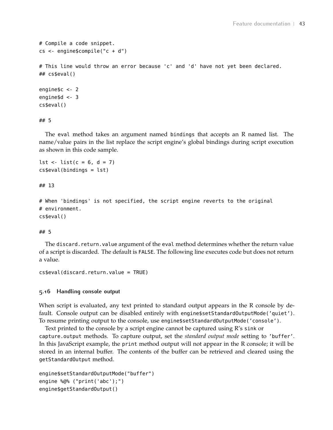```
# Compile a code snippet.
cs <- engine$compile("c + d")
# This line would throw an error because 'c' and 'd' have not yet been declared.
## cs$eval()
engine$c <- 2
engine$d <- 3
cs$eval()
```
## 5

The eval method takes an argument named bindings that accepts an R named list. The name/value pairs in the list replace the script engine's global bindings during script execution as shown in this code sample.

```
lst <- list(c = 6, d = 7)
cs$eval(bindings = lst)
```
## 13

```
# When 'bindings' is not specified, the script engine reverts to the original
# environment.
cs$eval()
```
## 5

The discard.return.value argument of the eval method determines whether the return value of a script is discarded. The default is FALSE. The following line executes code but does not return a value.

```
cs$eval(discard.return.value = TRUE)
```
#### <span id="page-42-0"></span>**5.16 Handling console output**

When script is evaluated, any text printed to standard output appears in the R console by default. Console output can be disabled entirely with engine\$setStandardOutputMode('quiet'). To resume printing output to the console, use engine\$setStandardOutputMode('console').

Text printed to the console by a script engine cannot be captured using R's sink or capture.output methods. To capture output, set the *standard output mode* setting to 'buffer'. In this JavaScript example, the print method output will not appear in the R console; it will be stored in an internal buffer. The contents of the buffer can be retrieved and cleared using the getStandardOutput method.

```
engine$setStandardOutputMode("buffer")
engine %@% ("print('abc');")
engine$getStandardOutput()
```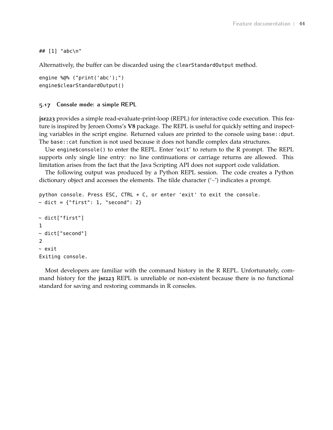#### ## [1] "abc\n"

Alternatively, the buffer can be discarded using the clearStandardOutput method.

```
engine %@% ("print('abc');")
engine$clearStandardOutput()
```
#### <span id="page-43-0"></span>**5.17 Console mode: a simple REPL**

**jsr223** provides a simple read-evaluate-print-loop (REPL) for interactive code execution. This feature is inspired by Jeroen Ooms's **V8** package. The REPL is useful for quickly setting and inspecting variables in the script engine. Returned values are printed to the console using base::dput. The base::cat function is not used because it does not handle complex data structures.

Use engine\$console() to enter the REPL. Enter 'exit' to return to the R prompt. The REPL supports only single line entry: no line continuations or carriage returns are allowed. This limitation arises from the fact that the Java Scripting API does not support code validation.

The following output was produced by a Python REPL session. The code creates a Python dictionary object and accesses the elements. The tilde character ('∼') indicates a prompt.

```
python console. Press ESC, CTRL + C, or enter 'exit' to exit the console.
\sim dict = {"first": 1, "second": 2}
~ dict["first"]
1
~ dict["second"]
\mathcal{L}~ exit
Exiting console.
```
Most developers are familiar with the command history in the R REPL. Unfortunately, command history for the **jsr223** REPL is unreliable or non-existent because there is no functional standard for saving and restoring commands in R consoles.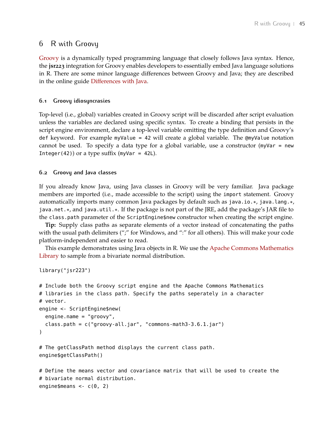## <span id="page-44-0"></span>6 R with Groovy

[Groovy](http://www.groovy-lang.org/) is a dynamically typed programming language that closely follows Java syntax. Hence, the **jsr223** integration for Groovy enables developers to essentially embed Java language solutions in R. There are some minor language differences between Groovy and Java; they are described in the online guide [Differences with Java.](http://groovy-lang.org/differences.html)

#### <span id="page-44-1"></span>**6.1 Groovy idiosyncrasies**

Top-level (i.e., global) variables created in Groovy script will be discarded after script evaluation unless the variables are declared using specific syntax. To create a binding that persists in the script engine environment, declare a top-level variable omitting the type definition and Groovy's def keyword. For example myValue = 42 will create a global variable. The @myValue notation cannot be used. To specify a data type for a global variable, use a constructor (myVar = new Integer(42)) or a type suffix (myVar = 42L).

#### <span id="page-44-2"></span>**6.2 Groovy and Java classes**

If you already know Java, using Java classes in Groovy will be very familiar. Java package members are imported (i.e., made accessible to the script) using the import statement. Groovy automatically imports many common Java packages by default such as java.io. $*,$  java.lang. $*,$ java.net.\*, and java.util.\*. If the package is not part of the JRE, add the package's JAR file to the class.path parameter of the ScriptEngine\$new constructor when creating the script engine.

**Tip:** Supply class paths as separate elements of a vector instead of concatenating the paths with the usual path delimiters (";" for Windows, and ":" for all others). This will make your code platform-independent and easier to read.

This example demonstrates using Java objects in R. We use the [Apache Commons Mathematics](http://commons.apache.org/proper/commons-math/) [Library](http://commons.apache.org/proper/commons-math/) to sample from a bivariate normal distribution.

```
library("jsr223")
```

```
# Include both the Groovy script engine and the Apache Commons Mathematics
# libraries in the class path. Specify the paths seperately in a character
# vector.
engine <- ScriptEngine$new(
  engine.name = "groovy",
  class.path = c("groovy-all.jar", "commons-math3-3.6.1.jar")
)
# The getClassPath method displays the current class path.
engine$getClassPath()
# Define the means vector and covariance matrix that will be used to create the
# bivariate normal distribution.
```

```
engine$means <- c(\theta, 2)
```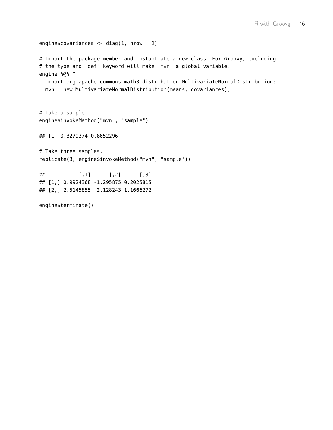```
engine$covariances <- diag(1, nrow = 2)
# Import the package member and instantiate a new class. For Groovy, excluding
# the type and 'def' keyword will make 'mvn' a global variable.
engine %@% "
 import org.apache.commons.math3.distribution.MultivariateNormalDistribution;
 mvn = new MultivariateNormalDistribution(means, covariances);
\mathbf{u}# Take a sample.
engine$invokeMethod("mvn", "sample")
## [1] 0.3279374 0.8652296
# Take three samples.
replicate(3, engine$invokeMethod("mvn", "sample"))
\# [,1] [,2] [,3]
## [1,] 0.9924368 -1.295875 0.2025815
## [2,] 2.5145855 2.128243 1.1666272
engine$terminate()
```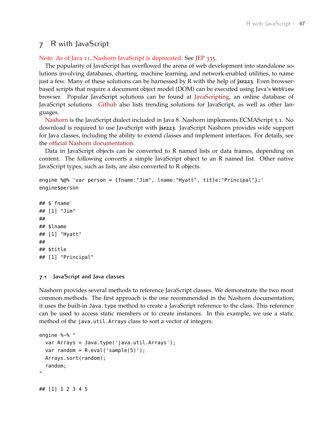## <span id="page-46-0"></span>7 R with JavaScript

#### Note: As of Java 11, Nashorn JavaScript is deprecated. See [JEP](https://openjdk.java.net/jeps/335) 335.

The popularity of JavaScript has overflowed the arena of web development into standalone solutions involving databases, charting, machine learning, and network-enabled utilities, to name just a few. Many of these solutions can be harnessed by R with the help of **jsr223**. Even browserbased scripts that require a document object model (DOM) can be executed using Java's WebView browser. Popular JavaScript solutions can be found at [JavaScripting,](https://www.javascripting.com/) an online database of JavaScript solutions. [Github](https://github.com/trending/javascript?since=monthly) also lists trending solutions for JavaScript, as well as other languages.

[Nashorn](https://docs.oracle.com/javase/8/docs/technotes/guides/scripting/nashorn/) is the JavaScript dialect included in Java 8. Nashorn implements ECMAScript 5.1. No download is required to use JavaScript with **jsr223**. JavaScript Nashorn provides wide support for Java classes, including the ability to extend classes and implement interfaces. For details, see the [official Nashorn documentation.](https://docs.oracle.com/javase/8/docs/technotes/guides/scripting/nashorn/)

Data in JavaScript objects can be converted to R named lists or data frames, depending on content. The following converts a simple JavaScript object to an R named list. Other native JavaScript types, such as lists, are also converted to R objects.

```
engine %@% 'var person = {fname:"Jim", lname:"Hyatt", title:"Principal"};'
engine$person
```
 $##$ \$`fname` ## [1] "Jim" ## ## \$lname ## [1] "Hyatt" ## ## \$title ## [1] "Principal"

#### <span id="page-46-1"></span>**7.1 JavaScript and Java classes**

Nashorn provides several methods to reference JavaScript classes. We demonstrate the two most common methods. The first approach is the one recommended in the Nashorn documentation; it uses the built-in Java.type method to create a JavaScript reference to the class. This reference can be used to access static members or to create instances. In this example, we use a static method of the java.util.Arrays class to sort a vector of integers.

```
engine %~% "
 var Arrays = Java.type('java.util.Arrays');
 var random = R.eval('sample(5)');
 Arrays.sort(random);
  random;
"
```
## [1] 1 2 3 4 5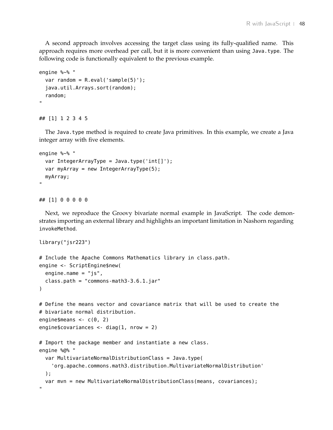A second approach involves accessing the target class using its fully-qualified name. This approach requires more overhead per call, but it is more convenient than using Java.type. The following code is functionally equivalent to the previous example.

```
engine %~% "
  var random = R.event('sample(5)');
 java.util.Arrays.sort(random);
  random;
"
```
#### ## [1] 1 2 3 4 5

The Java.type method is required to create Java primitives. In this example, we create a Java integer array with five elements.

```
engine %~% "
 var IntegerArrayType = Java.type('int[]');
 var myArray = new IntegerArrayType(5);
 myArray;
"
```
## [1] 0 0 0 0 0

Next, we reproduce the Groovy bivariate normal example in JavaScript. The code demonstrates importing an external library and highlights an important limitation in Nashorn regarding invokeMethod.

```
library("jsr223")
# Include the Apache Commons Mathematics library in class.path.
engine <- ScriptEngine$new(
  engine.name = "js",class.path = "commons-math3-3.6.1.jar"
)
# Define the means vector and covariance matrix that will be used to create the
# bivariate normal distribution.
engine$means <- c(\theta, 2)engine$covariances <- diag(1, nrow = 2)
# Import the package member and instantiate a new class.
engine %@% "
 var MultivariateNormalDistributionClass = Java.type(
    'org.apache.commons.math3.distribution.MultivariateNormalDistribution'
  );
 var mvn = new MultivariateNormalDistributionClass(means, covariances);
^{\rm{m}}
```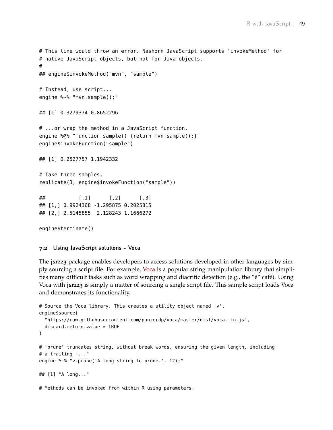```
# This line would throw an error. Nashorn JavaScript supports 'invokeMethod' for
# native JavaScript objects, but not for Java objects.
#
## engine$invokeMethod("mvn", "sample")
# Instead, use script...
engine %~% "mvn.sample();"
## [1] 0.3279374 0.8652296
# ...or wrap the method in a JavaScript function.
engine %@% "function sample() {return mvn.sample();}"
engine$invokeFunction("sample")
## [1] 0.2527757 1.1942332
# Take three samples.
replicate(3, engine$invokeFunction("sample"))
\# [,1] [,2] [,3]
## [1,] 0.9924368 -1.295875 0.2025815
## [2,] 2.5145855 2.128243 1.1666272
engine$terminate()
```
<span id="page-48-0"></span>**7.2 Using JavaScript solutions - Voca**

The **jsr223** package enables developers to access solutions developed in other languages by simply sourcing a script file. For example, [Voca](https://vocajs.com/) is a popular string manipulation library that simplifies many difficult tasks such as word wrapping and diacritic detection (e.g., the "é" café). Using Voca with **jsr223** is simply a matter of sourcing a single script file. This sample script loads Voca and demonstrates its functionality.

```
# Source the Voca library. This creates a utility object named 'v'.
engine$source(
  "https://raw.githubusercontent.com/panzerdp/voca/master/dist/voca.min.js",
  discard.return.value = TRUE
\lambda# 'prune' truncates string, without break words, ensuring the given length, including
# a trailing "..."
engine %~% "v.prune('A long string to prune.', 12);"
## [1] "A long..."
# Methods can be invoked from within R using parameters.
```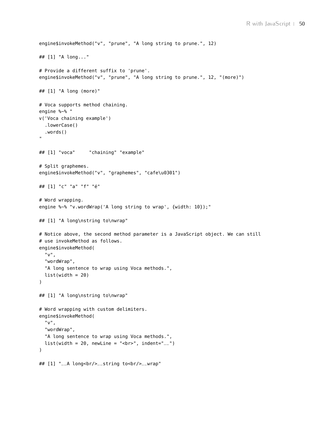```
engine$invokeMethod("v", "prune", "A long string to prune.", 12)
## [1] "A long..."
# Provide a different suffix to 'prune'.
engine$invokeMethod("v", "prune", "A long string to prune.", 12, "(more)")
## [1] "A long (more)"
# Voca supports method chaining.
engine %~% "
v('Voca chaining example')
  .lowerCase()
  .words()
"
## [1] "voca" "chaining" "example"
# Split graphemes.
engine$invokeMethod("v", "graphemes", "cafe\u0301")
## [1] "c" "a" "f" "é"
# Word wrapping.
engine %~% "v.wordWrap('A long string to wrap', {width: 10});"
## [1] "A long\nstring to\nwrap"
# Notice above, the second method parameter is a JavaScript object. We can still
# use invokeMethod as follows.
engine$invokeMethod(
  "v",
  "wordWrap",
  "A long sentence to wrap using Voca methods.",
  list(width = 20)\lambda## [1] "A long\nstring to\nwrap"
# Word wrapping with custom delimiters.
engine$invokeMethod(
  "v",
  "wordWrap",
  "A long sentence to wrap using Voca methods.",
 list(width = 20, newLine = "chr" , indent="__"))
## [1] "__A long<br/>__string to<br/>__wrap"
```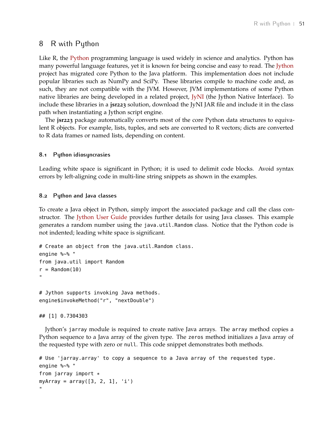## <span id="page-50-0"></span>8 R with Python

Like R, the [Python](https://www.python.org/) programming language is used widely in science and analytics. Python has many powerful language features, yet it is known for being concise and easy to read. The [Jython](http://www.jython.org/) project has migrated core Python to the Java platform. This implementation does not include popular libraries such as NumPy and SciPy. These libraries compile to machine code and, as such, they are not compatible with the JVM. However, JVM implementations of some Python native libraries are being developed in a related project, [JyNI](http://www.jyni.org/) (the Jython Native Interface). To include these libraries in a **jsr223** solution, download the JyNI JAR file and include it in the class path when instantiating a Jython script engine.

The **jsr223** package automatically converts most of the core Python data structures to equivalent R objects. For example, lists, tuples, and sets are converted to R vectors; dicts are converted to R data frames or named lists, depending on content.

#### <span id="page-50-1"></span>**8.1 Python idiosyncrasies**

Leading white space is significant in Python; it is used to delimit code blocks. Avoid syntax errors by left-aligning code in multi-line string snippets as shown in the examples.

#### <span id="page-50-2"></span>**8.2 Python and Java classes**

To create a Java object in Python, simply import the associated package and call the class con-structor. The [Jython User Guide](https://wiki.python.org/jython/NewUsersGuide) provides further details for using Java classes. This example generates a random number using the java.util.Random class. Notice that the Python code is not indented; leading white space is significant.

```
# Create an object from the java.util.Random class.
engine %~% "
from java.util import Random
r =Random(10)"
# Jython supports invoking Java methods.
```
engine\$invokeMethod("r", "nextDouble")

## [1] 0.7304303

Jython's jarray module is required to create native Java arrays. The array method copies a Python sequence to a Java array of the given type. The zeros method initializes a Java array of the requested type with zero or null. This code snippet demonstrates both methods.

```
# Use 'jarray.array' to copy a sequence to a Java array of the requested type.
engine %~% "
from jarray import *myArray = array([3, 2, 1], 'i')
"
```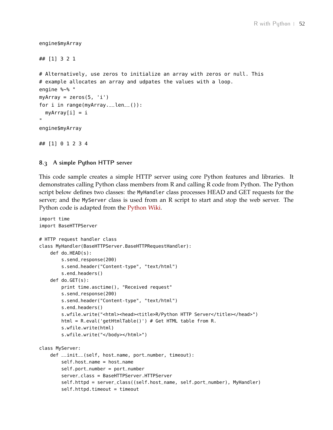```
engine$myArray
```

```
## [1] 3 2 1
# Alternatively, use zeros to initialize an array with zeros or null. This
# example allocates an array and udpates the values with a loop.
engine %~% "
myArray = zeros(5, 'i')for i in range(myArray.__len__()):
  myArray[i] = i..
engine$myArray
## [1] 0 1 2 3 4
```
#### <span id="page-51-0"></span>**8.3 A simple Python HTTP server**

This code sample creates a simple HTTP server using core Python features and libraries. It demonstrates calling Python class members from R and calling R code from Python. The Python script below defines two classes: the MyHandler class processes HEAD and GET requests for the server; and the MyServer class is used from an R script to start and stop the web server. The Python code is adapted from the [Python Wiki.](https://wiki.python.org/moin/BaseHttpServer)

```
import time
import BaseHTTPServer
# HTTP request handler class
class MyHandler(BaseHTTPServer.BaseHTTPRequestHandler):
    def do_HEAD(s):
        s.send_response(200)
        s.send_header("Content-type", "text/html")
        s.end_headers()
    def do_GET(s):
        print time.asctime(), "Received request"
        s.send_response(200)
        s.send_header("Content-type", "text/html")
        s.end_headers()
        s.wfile.write("<html><head><title>R/Python HTTP Server</title></head>")
        html = R.eval('getHtmlTable()') # Get HTML table from R.
        s.wfile.write(html)
        s.wfile.write("</body></html>")
class MyServer:
    def __init__(self, host_name, port_number, timeout):
        self.host_name = host_name
        self.port_number = port_number
        server_class = BaseHTTPServer.HTTPServer
        self.httpd = server_class((self.host_name, self.port_number), MyHandler)
        self.httpd.timeout = timeout
```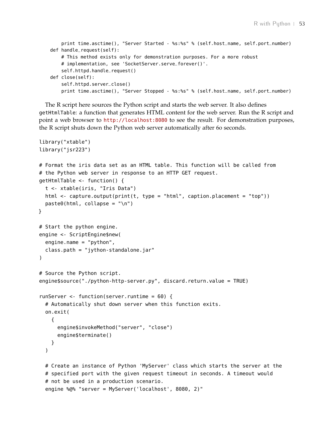```
print time.asctime(), "Server Started - %s:%s" % (self.host_name, self.port_number)
def handle_request(self):
    # This method exists only for demonstration purposes. For a more robust
    # implementation, see 'SocketServer.serve_forever()'.
    self.httpd.handle_request()
def close(self):
    self.httpd.server_close()
    print time.asctime(), "Server Stopped - %s:%s" % (self.host_name, self.port_number)
```
The R script here sources the Python script and starts the web server. It also defines getHtmlTable: a function that generates HTML content for the web server. Run the R script and point a web browser to <http://localhost:8080> to see the result. For demonstration purposes, the R script shuts down the Python web server automatically after 60 seconds.

```
library("xtable")
library("jsr223")
# Format the iris data set as an HTML table. This function will be called from
# the Python web server in response to an HTTP GET request.
getHtmlTable <- function() {
  t <- xtable(iris, "Iris Data")
  html <- capture.output(print(t, type = "html", caption.placement = "top"))
  paste0(html, collapse = "\n")
}
# Start the python engine.
engine <- ScriptEngine$new(
  engine.name = "python",
  class.path = "jython-standalone.jar"
)
# Source the Python script.
engine$source("./python-http-server.py", discard.return.value = TRUE)
runServer <- function(server.runtime = 60) {
  # Automatically shut down server when this function exits.
  on.exit(
    {
      engine$invokeMethod("server", "close")
      engine$terminate()
    }
  )
  # Create an instance of Python 'MyServer' class which starts the server at the
  # specified port with the given request timeout in seconds. A timeout would
  # not be used in a production scenario.
  engine %@% "server = MyServer('localhost', 8080, 2)"
```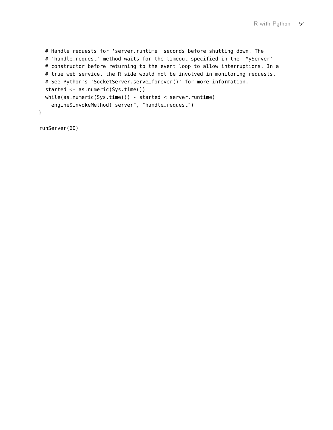```
# Handle requests for 'server.runtime' seconds before shutting down. The
  # 'handle_request' method waits for the timeout specified in the 'MyServer'
  # constructor before returning to the event loop to allow interruptions. In a
  # true web service, the R side would not be involved in monitoring requests.
  # See Python's 'SocketServer.serve_forever()' for more information.
  started <- as.numeric(Sys.time())
  while(as.numeric(Sys.time()) - started < server.runtime)
    engine$invokeMethod("server", "handle_request")
}
```
runServer(60)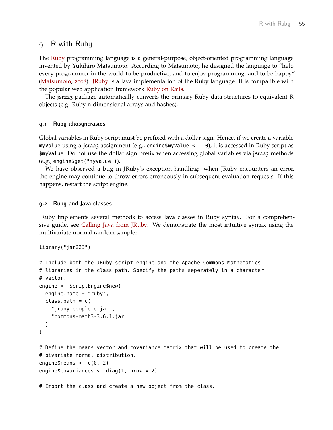## <span id="page-54-0"></span>9 R with Ruby

The [Ruby](https://www.ruby-lang.org) programming language is a general-purpose, object-oriented programming language invented by Yukihiro Matsumoto. According to Matsumoto, he designed the language to "help every programmer in the world to be productive, and to enjoy programming, and to be happy" [\(Matsumoto,](#page-69-8) [2008](#page-69-8)). [JRuby](http://jruby.org/) is a Java implementation of the Ruby language. It is compatible with the popular web application framework [Ruby on Rails.](http://rubyonrails.org/)

The **jsr223** package automatically converts the primary Ruby data structures to equivalent R objects (e.g. Ruby n-dimensional arrays and hashes).

#### <span id="page-54-1"></span>**9.1 Ruby idiosyncrasies**

Global variables in Ruby script must be prefixed with a dollar sign. Hence, if we create a variable myValue using a **jsr223** assignment (e.g., engine\$myValue <- 10), it is accessed in Ruby script as \$myValue. Do not use the dollar sign prefix when accessing global variables via **jsr223** methods (e.g., engine\$get("myValue")).

We have observed a bug in JRuby's exception handling: when JRuby encounters an error, the engine may continue to throw errors erroneously in subsequent evaluation requests. If this happens, restart the script engine.

#### <span id="page-54-2"></span>**9.2 Ruby and Java classes**

JRuby implements several methods to access Java classes in Ruby syntax. For a comprehensive guide, see [Calling Java from JRuby.](https://github.com/jruby/jruby/wiki/CallingJavaFromJRuby) We demonstrate the most intuitive syntax using the multivariate normal random sampler.

```
library("jsr223")
```

```
# Include both the JRuby script engine and the Apache Commons Mathematics
# libraries in the class path. Specify the paths seperately in a character
# vector.
engine <- ScriptEngine$new(
  engine.name = "ruby",
 class.path = c("jruby-complete.jar",
    "commons-math3-3.6.1.jar"
  )
)
# Define the means vector and covariance matrix that will be used to create the
# bivariate normal distribution.
engine$means <- c(0, 2)engine$covariances <- diag(1, nrow = 2)
```
# Import the class and create a new object from the class.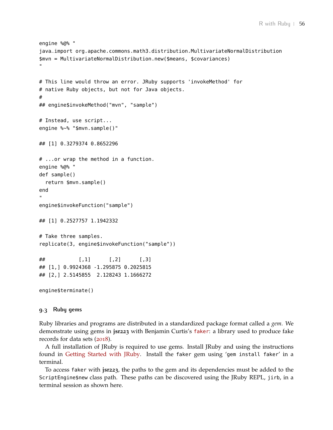```
engine %@% "
java_import org.apache.commons.math3.distribution.MultivariateNormalDistribution
$mvn = MultivariateNormalDistribution.new($means, $covariances)
"
# This line would throw an error. JRuby supports 'invokeMethod' for
# native Ruby objects, but not for Java objects.
#
## engine$invokeMethod("mvn", "sample")
# Instead, use script...
engine %~% "$mvn.sample()"
## [1] 0.3279374 0.8652296
# ...or wrap the method in a function.
engine %@% "
def sample()
  return $mvn.sample()
end
"
engine$invokeFunction("sample")
## [1] 0.2527757 1.1942332
# Take three samples.
replicate(3, engine$invokeFunction("sample"))
\# [,1] [,2] [,3]
## [1,] 0.9924368 -1.295875 0.2025815
## [2,] 2.5145855 2.128243 1.1666272
engine$terminate()
```
#### <span id="page-55-0"></span>**9.3 Ruby gems**

Ruby libraries and programs are distributed in a standardized package format called a *gem*. We demonstrate using gems in **jsr223** with Benjamin Curtis's [faker](https://github.com/stympy/faker): a library used to produce fake records for data sets ([2018](#page-68-4)).

A full installation of JRuby is required to use gems. Install JRuby and using the instructions found in [Getting Started with JRuby.](https://github.com/jruby/jruby/wiki/GettingStarted) Install the faker gem using 'gem install faker' in a terminal.

To access faker with **jsr223**, the paths to the gem and its dependencies must be added to the ScriptEngine\$new class path. These paths can be discovered using the JRuby REPL, jirb, in a terminal session as shown here.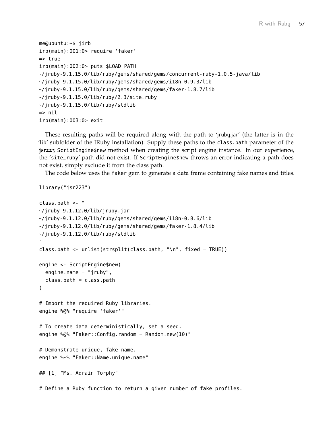```
me@ubuntu:~$ jirb
irb(main):001:0> require 'faker'
=> true
irb(main):002:0> puts $LOAD_PATH
~/jruby-9.1.15.0/lib/ruby/gems/shared/gems/concurrent-ruby-1.0.5-java/lib
~/jruby-9.1.15.0/lib/ruby/gems/shared/gems/i18n-0.9.3/lib
~/jruby-9.1.15.0/lib/ruby/gems/shared/gems/faker-1.8.7/lib
\sim/jruby-9.1.15.0/lib/ruby/2.3/site_ruby
~/jruby-9.1.15.0/lib/ruby/stdlib
=> nil
irb(main):003:0> exit
```
These resulting paths will be required along with the path to 'jruby.jar' (the latter is in the 'lib' subfolder of the JRuby installation). Supply these paths to the class.path parameter of the **jsr223** ScriptEngine\$new method when creating the script engine instance. In our experience, the 'site\_ruby' path did not exist. If ScriptEngine\$new throws an error indicating a path does not exist, simply exclude it from the class path.

The code below uses the faker gem to generate a data frame containing fake names and titles.

```
library("jsr223")
class.path <- "
~/jruby-9.1.12.0/lib/jruby.jar
~/jruby-9.1.12.0/lib/ruby/gems/shared/gems/i18n-0.8.6/lib
~/jruby-9.1.12.0/lib/ruby/gems/shared/gems/faker-1.8.4/lib
~/jruby-9.1.12.0/lib/ruby/stdlib
"
class.path <- unlist(strsplit(class.path, "\n", fixed = TRUE))
engine <- ScriptEngine$new(
  engine.name = "jruby",
  class.path = class.path
)
# Import the required Ruby libraries.
engine %@% "require 'faker'"
# To create data deterministically, set a seed.
engine %@% "Faker::Config.random = Random.new(10)"
# Demonstrate unique, fake name.
engine %~% "Faker::Name.unique.name"
## [1] "Ms. Adrain Torphy"
# Define a Ruby function to return a given number of fake profiles.
```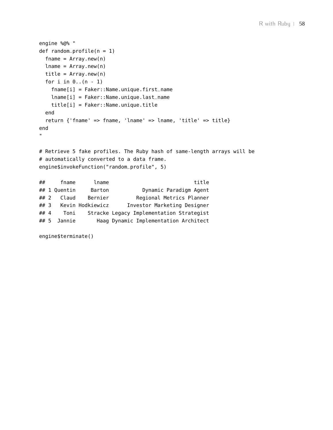```
engine %@% "
def random\_profile(n = 1)fname = Array.new(n)lname = Array.new(n)title = Array.new(n)for i in 0..(n - 1)fname[i] = Faker::Name.unique.first_name
   lname[i] = Faker::Name.unique.last_name
   title[i] = Faker::Name.unique.title
 end
  return {'fname' => fname, 'lname' => lname, 'title' => title}
end
"
# Retrieve 5 fake profiles. The Ruby hash of same-length arrays will be
# automatically converted to a data frame.
engine$invokeFunction("random_profile", 5)
## fname lname title
## 1 Quentin Barton Dynamic Paradigm Agent
## 2 Claud Bernier Regional Metrics Planner
## 3 Kevin Hodkiewicz Investor Marketing Designer
```
## 4 Toni Stracke Legacy Implementation Strategist ## 5 Jannie Haag Dynamic Implementation Architect

```
engine$terminate()
```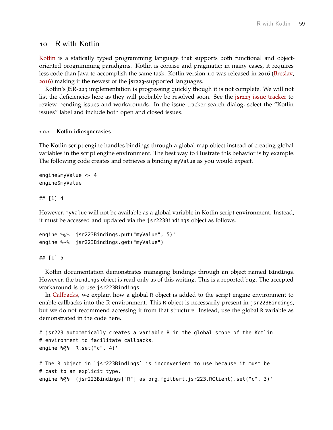## <span id="page-58-0"></span>10 R with Kotlin

[Kotlin](https://kotlinlang.org/) is a statically typed programming language that supports both functional and objectoriented programming paradigms. Kotlin is concise and pragmatic; in many cases, it requires less code than Java to accomplish the same task. Kotlin version 1.0 was released in 2016 [\(Breslav,](#page-68-5) [2016](#page-68-5)) making it the newest of the **jsr223**-supported languages.

Kotlin's JSR-223 implementation is progressing quickly though it is not complete. We will not list the deficiencies here as they will probably be resolved soon. See the **jsr223** [issue tracker](https://github.com/floidgilbert/jsr223/issues) to review pending issues and workarounds. In the issue tracker search dialog, select the "Kotlin issues" label and include both open and closed issues.

#### <span id="page-58-1"></span>**10.1 Kotlin idiosyncrasies**

The Kotlin script engine handles bindings through a global map object instead of creating global variables in the script engine environment. The best way to illustrate this behavior is by example. The following code creates and retrieves a binding myValue as you would expect.

```
engine$myValue <- 4
engine$myValue
```
#### ## [1] 4

However, myValue will not be available as a global variable in Kotlin script environment. Instead, it must be accessed and updated via the jsr223Bindings object as follows.

```
engine %@% 'jsr223Bindings.put("myValue", 5)'
engine %~% 'jsr223Bindings.get("myValue")'
```
#### ## [1] 5

Kotlin documentation demonstrates managing bindings through an object named bindings. However, the bindings object is read-only as of this writing. This is a reported bug. The accepted workaround is to use jsr223Bindings.

In [Callbacks,](#page-40-0) we explain how a global R object is added to the script engine environment to enable callbacks into the R environment. This R object is necessarily present in jsr223Bindings, but we do not recommend accessing it from that structure. Instead, use the global R variable as demonstrated in the code here.

```
# jsr223 automatically creates a variable R in the global scope of the Kotlin
# environment to facilitate callbacks.
engine %@% 'R.set("c", 4)'
# The R object in `jsr223Bindings` is inconvenient to use because it must be
# cast to an explicit type.
```

```
engine %@% '(jsr223Bindings["R"] as org.fgilbert.jsr223.RClient).set("c", 3)'
```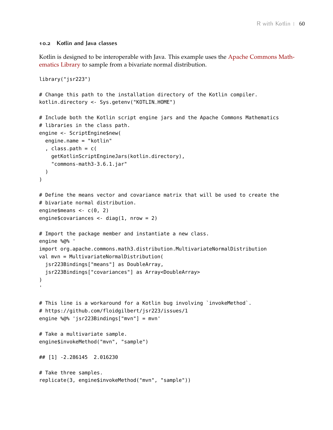#### **10.2 Kotlin and Java classes**

Kotlin is designed to be interoperable with Java. This example uses the [Apache Commons Math](http://commons.apache.org/proper/commons-math/)[ematics Library](http://commons.apache.org/proper/commons-math/) to sample from a bivariate normal distribution.

```
library("jsr223")
# Change this path to the installation directory of the Kotlin compiler.
kotlin.directory <- Sys.getenv("KOTLIN_HOME")
# Include both the Kotlin script engine jars and the Apache Commons Mathematics
# libraries in the class path.
engine <- ScriptEngine$new(
  engine.name = "kotlin"
  , class.path = c(getKotlinScriptEngineJars(kotlin.directory),
    "commons-math3-3.6.1.jar"
 )
)
# Define the means vector and covariance matrix that will be used to create the
# bivariate normal distribution.
engine$means <- c(\theta, 2)engine$covariances <- diag(1, nrow = 2)
# Import the package member and instantiate a new class.
engine %@% '
import org.apache.commons.math3.distribution.MultivariateNormalDistribution
val mvn = MultivariateNormalDistribution(
  jsr223Bindings["means"] as DoubleArray,
  jsr223Bindings["covariances"] as Array<DoubleArray>
)
# This line is a workaround for a Kotlin bug involving `invokeMethod`.
# https://github.com/floidgilbert/jsr223/issues/1
engine %@% 'jsr223Bindings["mvn"] = mvn'
# Take a multivariate sample.
engine$invokeMethod("mvn", "sample")
## [1] -2.286145 2.016230
# Take three samples.
replicate(3, engine$invokeMethod("mvn", "sample"))
```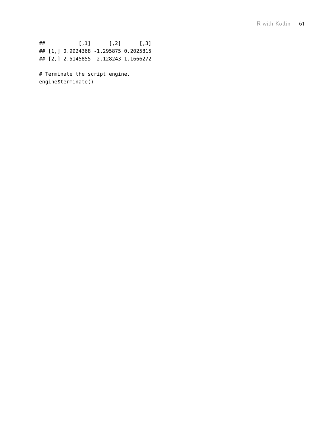## [,1] [,2] [,3] ## [1,] 0.9924368 -1.295875 0.2025815 ## [2,] 2.5145855 2.128243 1.1666272

# Terminate the script engine. engine\$terminate()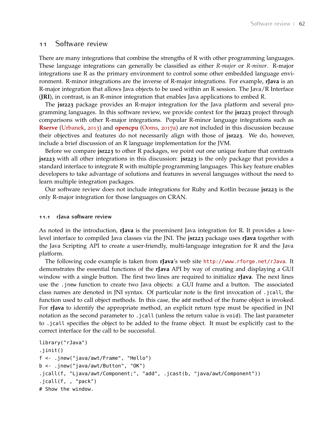## <span id="page-61-0"></span>11 Software review

There are many integrations that combine the strengths of R with other programming languages. These language integrations can generally be classified as either *R-major* or *R-minor*. R-major integrations use R as the primary environment to control some other embedded language environment. R-minor integrations are the inverse of R-major integrations. For example, **rJava** is an R-major integration that allows Java objects to be used within an R session. The Java/R Interface (**JRI**), in contrast, is an R-minor integration that enables Java applications to embed R.

The **jsr223** package provides an R-major integration for the Java platform and several programming languages. In this software review, we provide context for the **jsr223** project through comparisons with other R-major integrations. Popular R-minor language integrations such as **[Rserve](https://CRAN.R-project.org/package=Rserve)** [\(Urbanek,](#page-69-9) [2013](#page-69-9)) and **[opencpu](https://CRAN.R-project.org/package=opencpu)** [\(Ooms,](#page-69-10) [2017](#page-69-10)a) are not included in this discussion because their objectives and features do not necessarily align with those of **jsr223**. We do, however, include a brief discussion of an R language implementation for the JVM.

Before we compare **jsr223** to other R packages, we point out one unique feature that contrasts **jsr223** with all other integrations in this discussion: **jsr223** is the only package that provides a standard interface to integrate R with multiple programming languages. This key feature enables developers to take advantage of solutions and features in several languages without the need to learn multiple integration packages.

Our software review does not include integrations for Ruby and Kotlin because **jsr223** is the only R-major integration for those languages on CRAN.

#### <span id="page-61-1"></span>**11.1 rJava software review**

As noted in the introduction, **rJava** is the preeminent Java integration for R. It provides a lowlevel interface to compiled Java classes via the JNI. The **jsr223** package uses **rJava** together with the Java Scripting API to create a user-friendly, multi-language integration for R and the Java platform.

The following code example is taken from **rJava**'s web site <http://www.rforge.net/rJava>. It demonstrates the essential functions of the **rJava** API by way of creating and displaying a GUI window with a single button. The first two lines are required to initialize **rJava**. The next lines use the .jnew function to create two Java objects: a GUI frame and a button. The associated class names are denoted in JNI syntax. Of particular note is the first invocation of .jcall, the function used to call object methods. In this case, the add method of the frame object is invoked. For **rJava** to identify the appropriate method, an explicit return type must be specified in JNI notation as the second parameter to .jcall (unless the return value is void). The last parameter to .jcall specifies the object to be added to the frame object. It must be explicitly cast to the correct interface for the call to be successful.

```
library("rJava")
.jinit()
f <- .jnew("java/awt/Frame", "Hello")
b <- .jnew("java/awt/Button", "OK")
.jcall(f, "Ljava/awt/Component;", "add", .jcast(b, "java/awt/Component"))
.jcall(f, , "pack")
# Show the window.
```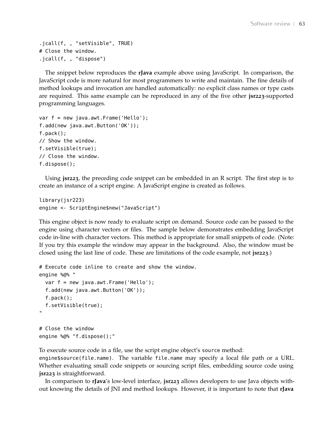```
.jcall(f, , "setVisible", TRUE)
# Close the window.
.jcall(f, , "dispose")
```
The snippet below reproduces the **rJava** example above using JavaScript. In comparison, the JavaScript code is more natural for most programmers to write and maintain. The fine details of method lookups and invocation are handled automatically: no explicit class names or type casts are required. This same example can be reproduced in any of the five other **jsr223**-supported programming languages.

```
var f = new java.awt.Frame('Hello');
f.add(new java.awt.Button('OK'));
f.pack();
// Show the window.
f.setVisible(true);
// Close the window.
f.dispose();
```
Using **jsr223**, the preceding code snippet can be embedded in an R script. The first step is to create an instance of a script engine. A JavaScript engine is created as follows.

```
library(jsr223)
engine <- ScriptEngine$new("JavaScript")
```
This engine object is now ready to evaluate script on demand. Source code can be passed to the engine using character vectors or files. The sample below demonstrates embedding JavaScript code in-line with character vectors. This method is appropriate for small snippets of code. (Note: If you try this example the window may appear in the background. Also, the window must be closed using the last line of code. These are limitations of the code example, not **jsr223**.)

```
# Execute code inline to create and show the window.
engine %@% "
  var f = new java.awt.Frame('Hello');
  f.add(new java.awt.Button('OK'));
  f.pack();
  f.setVisible(true);
^{\prime\prime}# Close the window
```
engine %@% "f.dispose();"

To execute source code in a file, use the script engine object's source method:

engine\$source(file.name). The variable file.name may specify a local file path or a URL. Whether evaluating small code snippets or sourcing script files, embedding source code using **jsr223** is straightforward.

In comparison to **rJava**'s low-level interface, **jsr223** allows developers to use Java objects without knowing the details of JNI and method lookups. However, it is important to note that **rJava**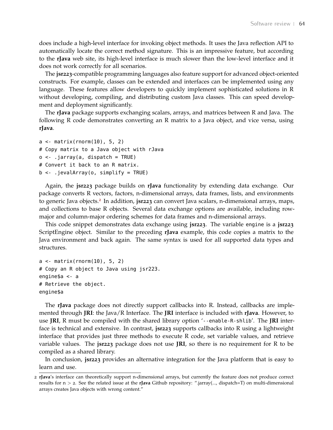does include a high-level interface for invoking object methods. It uses the Java reflection API to automatically locate the correct method signature. This is an impressive feature, but according to the **rJava** web site, its high-level interface is much slower than the low-level interface and it does not work correctly for all scenarios.

The **jsr223**-compatible programming languages also feature support for advanced object-oriented constructs. For example, classes can be extended and interfaces can be implemented using any language. These features allow developers to quickly implement sophisticated solutions in R without developing, compiling, and distributing custom Java classes. This can speed development and deployment significantly.

The **rJava** package supports exchanging scalars, arrays, and matrices between R and Java. The following R code demonstrates converting an R matrix to a Java object, and vice versa, using **rJava**.

```
a \leq matrix(rnorm(10), 5, 2)
# Copy matrix to a Java object with rJava
o <- .jarray(a, dispatch = TRUE)
# Convert it back to an R matrix.
b <- .jevalArray(o, simplify = TRUE)
```
Again, the **jsr223** package builds on **rJava** functionality by extending data exchange. Our package converts R vectors, factors, n-dimensional arrays, data frames, lists, and environments to generic Java objects.[2](#page-63-1) In addition, **jsr223** can convert Java scalars, n-dimensional arrays, maps, and collections to base R objects. Several data exchange options are available, including rowmajor and column-major ordering schemes for data frames and n-dimensional arrays.

This code snippet demonstrates data exchange using **jsr223**. The variable engine is a **jsr223** ScriptEngine object. Similar to the preceding **rJava** example, this code copies a matrix to the Java environment and back again. The same syntax is used for all supported data types and structures.

```
a <- matrix(rnorm(10), 5, 2)
# Copy an R object to Java using jsr223.
engine$a <- a
# Retrieve the object.
engine$a
```
The **rJava** package does not directly support callbacks into R. Instead, callbacks are implemented through **JRI**: the Java/R Interface. The **JRI** interface is included with **rJava**. However, to use **JRI**, R must be compiled with the shared library option '--enable-R-shlib'. The **JRI** interface is technical and extensive. In contrast, **jsr223** supports callbacks into R using a lightweight interface that provides just three methods to execute R code, set variable values, and retrieve variable values. The **jsr223** package does not use **JRI**, so there is no requirement for R to be compiled as a shared library.

In conclusion, **jsr223** provides an alternative integration for the Java platform that is easy to learn and use.

<span id="page-63-1"></span><span id="page-63-0"></span><sup>2</sup> **rJava**'s interface can theoretically support n-dimensional arrays, but currently the feature does not produce correct results for n > 2. See the related issue at the **rJava** Github repository: ".jarray(..., dispatch=T) on multi-dimensional arrays creates Java objects with wrong content."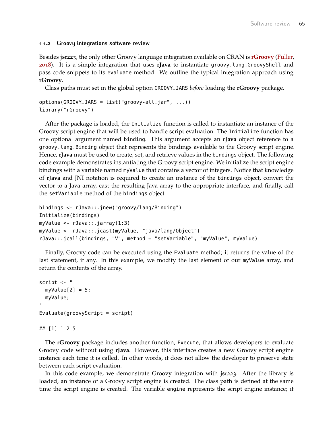#### **11.2 Groovy integrations software review**

Besides **jsr223**, the only other Groovy language integration available on CRAN is **[rGroovy](https://CRAN.R-project.org/package=rGroovy)** [\(Fuller,](#page-68-6) [2018](#page-68-6)). It is a simple integration that uses **rJava** to instantiate groovy.lang.GroovyShell and pass code snippets to its evaluate method. We outline the typical integration approach using **rGroovy**.

Class paths must set in the global option GROOVY\_JARS *before* loading the **rGroovy** package.

```
options(GROOVY_JARS = list("groovy-all.jar", ...))library("rGroovy")
```
After the package is loaded, the Initialize function is called to instantiate an instance of the Groovy script engine that will be used to handle script evaluation. The Initialize function has one optional argument named binding. This argument accepts an **rJava** object reference to a groovy.lang.Binding object that represents the bindings available to the Groovy script engine. Hence, **rJava** must be used to create, set, and retrieve values in the bindings object. The following code example demonstrates instantiating the Groovy script engine. We initialize the script engine bindings with a variable named myValue that contains a vector of integers. Notice that knowledge of **rJava** and JNI notation is required to create an instance of the bindings object, convert the vector to a Java array, cast the resulting Java array to the appropriate interface, and finally, call the setVariable method of the bindings object.

```
bindings <- rJava::.jnew("groovy/lang/Binding")
Initialize(bindings)
myValue <- rJava::.jarray(1:3)
myValue <- rJava::.jcast(myValue, "java/lang/Object")
rJava::.jcall(bindings, "V", method = "setVariable", "myValue", myValue)
```
Finally, Groovy code can be executed using the Evaluate method; it returns the value of the last statement, if any. In this example, we modify the last element of our myValue array, and return the contents of the array.

```
script <- "
  myValue[2] = 5;myValue;
"
Evaluate(groovyScript = script)
```

```
## [1] 1 2 5
```
The **rGroovy** package includes another function, Execute, that allows developers to evaluate Groovy code without using **rJava**. However, this interface creates a new Groovy script engine instance each time it is called. In other words, it does not allow the developer to preserve state between each script evaluation.

In this code example, we demonstrate Groovy integration with **jsr223**. After the library is loaded, an instance of a Groovy script engine is created. The class path is defined at the same time the script engine is created. The variable engine represents the script engine instance; it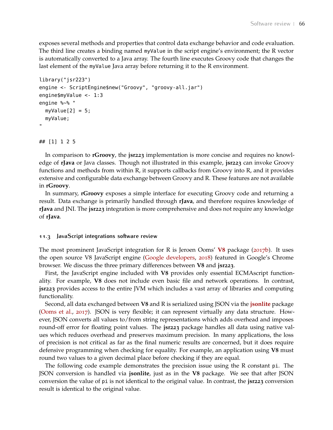exposes several methods and properties that control data exchange behavior and code evaluation. The third line creates a binding named myValue in the script engine's environment; the R vector is automatically converted to a Java array. The fourth line executes Groovy code that changes the last element of the myValue Java array before returning it to the R environment.

```
library("jsr223")
engine <- ScriptEngine$new("Groovy", "groovy-all.jar")
engine$myValue <- 1:3
engine %~% "
  myValue[2] = 5;myValue;
"
```
## [1] 1 2 5

In comparison to **rGroovy**, the **jsr223** implementation is more concise and requires no knowledge of **rJava** or Java classes. Though not illustrated in this example, **jsr223** can invoke Groovy functions and methods from within R, it supports callbacks from Groovy into R, and it provides extensive and configurable data exchange between Groovy and R. These features are not available in **rGroovy**.

In summary, **rGroovy** exposes a simple interface for executing Groovy code and returning a result. Data exchange is primarily handled through **rJava**, and therefore requires knowledge of **rJava** and JNI. The **jsr223** integration is more comprehensive and does not require any knowledge of **rJava**.

#### <span id="page-65-0"></span>**11.3 JavaScript integrations software review**

The most prominent JavaScript integration for R is Jeroen Ooms' **[V](https://CRAN.R-project.org/package=V8)8** package ([2017](#page-69-3)b). It uses the open source V8 JavaScript engine [\(Google developers,](#page-68-7) [2018](#page-68-7)) featured in Google's Chrome browser. We discuss the three primary differences between **V8** and **jsr223**.

First, the JavaScript engine included with **V8** provides only essential ECMAscript functionality. For example, **V8** does not include even basic file and network operations. In contrast, **jsr223** provides access to the entire JVM which includes a vast array of libraries and computing functionality.

Second, all data exchanged between **V8** and R is serialized using JSON via the **[jsonlite](https://CRAN.R-project.org/package=jsonlite)** package [\(Ooms et al.,](#page-69-11) [2017](#page-69-11)). JSON is very flexible; it can represent virtually any data structure. However, JSON converts all values to/from string representations which adds overhead and imposes round-off error for floating point values. The **jsr223** package handles all data using native values which reduces overhead and preserves maximum precision. In many applications, the loss of precision is not critical as far as the final numeric results are concerned, but it does require defensive programming when checking for equality. For example, an application using **V8** must round two values to a given decimal place before checking if they are equal.

The following code example demonstrates the precision issue using the R constant pi. The JSON conversion is handled via **jsonlite**, just as in the **V8** package. We see that after JSON conversion the value of pi is not identical to the original value. In contrast, the **jsr223** conversion result is identical to the original value.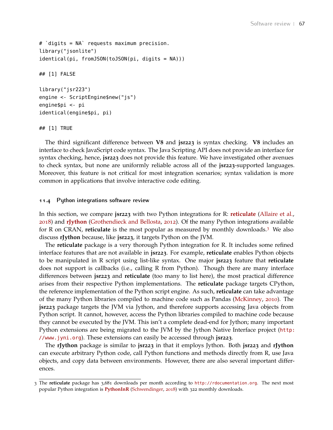```
# `digits = NA` requests maximum precision.
library("jsonlite")
identical(pi, fromJSON(toJSON(pi, digits = NA)))
## [1] FALSE
library("jsr223")
engine <- ScriptEngine$new("js")
engine$pi <- pi
identical(engine$pi, pi)
```
## [1] TRUE

The third significant difference between **V8** and **jsr223** is syntax checking. **V8** includes an interface to check JavaScript code syntax. The Java Scripting API does not provide an interface for syntax checking, hence, **jsr223** does not provide this feature. We have investigated other avenues to check syntax, but none are uniformly reliable across all of the **jsr223**-supported languages. Moreover, this feature is not critical for most integration scenarios; syntax validation is more common in applications that involve interactive code editing.

#### <span id="page-66-0"></span>**11.4 Python integrations software review**

In this section, we compare **jsr223** with two Python integrations for R: **[reticulate](https://CRAN.R-project.org/package=reticulate)** [\(Allaire et al.,](#page-68-8) [2018](#page-68-8)) and **[rJython](https://CRAN.R-project.org/package=rJython)** [\(Grothendieck and Bellosta,](#page-68-9) [2012](#page-68-9)). Of the many Python integrations available for R on CRAN, **reticulate** is the most popular as measured by monthly downloads.[3](#page-66-1) We also discuss **rJython** because, like **jsr223**, it targets Python on the JVM.

The **reticulate** package is a very thorough Python integration for R. It includes some refined interface features that are not available in **jsr223**. For example, **reticulate** enables Python objects to be manipulated in R script using list-like syntax. One major **jsr223** feature that **reticulate** does not support is callbacks (i.e., calling R from Python). Though there are many interface differences between **jsr223** and **reticulate** (too many to list here), the most practical difference arises from their respective Python implementations. The **reticulate** package targets CPython, the reference implementation of the Python script engine. As such, **reticulate** can take advantage of the many Python libraries compiled to machine code such as Pandas [\(McKinney,](#page-69-12) [2010](#page-69-12)). The **jsr223** package targets the JVM via Jython, and therefore supports accessing Java objects from Python script. It cannot, however, access the Python libraries compiled to machine code because they cannot be executed by the JVM. This isn't a complete dead-end for Jython; many important Python extensions are being migrated to the JVM by the Jython Native Interface project ([http:](http://www.jyni.org) [//www.jyni.org](http://www.jyni.org)). These extensions can easily be accessed through **jsr223**.

The **rJython** package is similar to **jsr223** in that it employs Jython. Both **jsr223** and **rJython** can execute arbitrary Python code, call Python functions and methods directly from R, use Java objects, and copy data between environments. However, there are also several important differences.

<span id="page-66-1"></span><sup>3</sup> The **reticulate** package has 3,681 downloads per month according to <http://rdocumentation.org>. The next most popular Python integration is **[PythonInR](https://CRAN.R-project.org/package=PythonInR)** [\(Schwendinger,](#page-69-13) [2018](#page-69-13)) with 322 monthly downloads.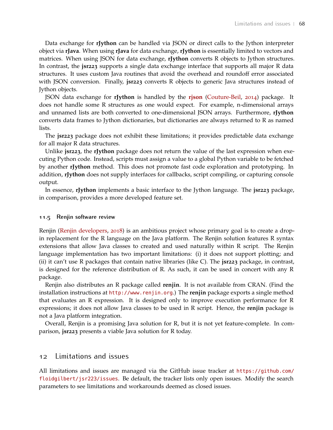Data exchange for **rJython** can be handled via JSON or direct calls to the Jython interpreter object via **rJava**. When using **rJava** for data exchange, **rJython** is essentially limited to vectors and matrices. When using JSON for data exchange, **rJython** converts R objects to Jython structures. In contrast, the **jsr223** supports a single data exchange interface that supports all major R data structures. It uses custom Java routines that avoid the overhead and roundoff error associated with JSON conversion. Finally, **jsr223** converts R objects to generic Java structures instead of Jython objects.

JSON data exchange for **rJython** is handled by the **[rjson](https://CRAN.R-project.org/package=rjson)** [\(Couture-Beil,](#page-68-10) [2014](#page-68-10)) package. It does not handle some R structures as one would expect. For example, n-dimensional arrays and unnamed lists are both converted to one-dimensional JSON arrays. Furthermore, **rJython** converts data frames to Jython dictionaries, but dictionaries are always returned to R as named lists.

The **jsr223** package does not exhibit these limitations; it provides predictable data exchange for all major R data structures.

Unlike **jsr223**, the **rJython** package does not return the value of the last expression when executing Python code. Instead, scripts must assign a value to a global Python variable to be fetched by another **rJython** method. This does not promote fast code exploration and prototyping. In addition, **rJython** does not supply interfaces for callbacks, script compiling, or capturing console output.

In essence, **rJython** implements a basic interface to the Jython language. The **jsr223** package, in comparison, provides a more developed feature set.

#### <span id="page-67-0"></span>**11.5 Renjin software review**

Renjin [\(Renjin developers,](#page-69-14) [2018](#page-69-14)) is an ambitious project whose primary goal is to create a dropin replacement for the R language on the Java platform. The Renjin solution features R syntax extensions that allow Java classes to created and used naturally within R script. The Renjin language implementation has two important limitations: (i) it does not support plotting; and (ii) it can't use R packages that contain native libraries (like C). The **jsr223** package, in contrast, is designed for the reference distribution of R. As such, it can be used in concert with any R package.

Renjin also distributes an R package called **renjin**. It is not available from CRAN. (Find the installation instructions at <http://www.renjin.org>.) The **renjin** package exports a single method that evaluates an R expression. It is designed only to improve execution performance for R expressions; it does not allow Java classes to be used in R script. Hence, the **renjin** package is not a Java platform integration.

<span id="page-67-1"></span>Overall, Renjin is a promising Java solution for R, but it is not yet feature-complete. In comparison, **jsr223** presents a viable Java solution for R today.

#### 12 Limitations and issues

<span id="page-67-2"></span>All limitations and issues are managed via the GitHub issue tracker at [https://github.com/](https://github.com/floidgilbert/jsr223/issues) [floidgilbert/jsr223/issues](https://github.com/floidgilbert/jsr223/issues). Be default, the tracker lists only open issues. Modify the search parameters to see limitations and workarounds deemed as closed issues.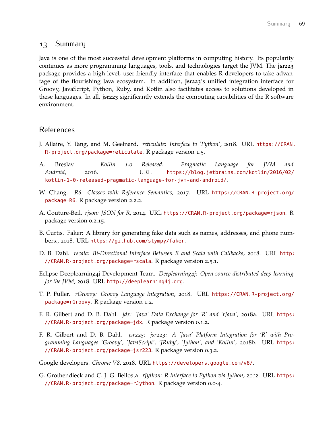## 13 Summary

Java is one of the most successful development platforms in computing history. Its popularity continues as more programming languages, tools, and technologies target the JVM. The **jsr223** package provides a high-level, user-friendly interface that enables R developers to take advantage of the flourishing Java ecosystem. In addition, **jsr223**'s unified integration interface for Groovy, JavaScript, Python, Ruby, and Kotlin also facilitates access to solutions developed in these languages. In all, **jsr223** significantly extends the computing capabilities of the R software environment.

## References

- <span id="page-68-8"></span>J. Allaire, Y. Tang, and M. Geelnard. *reticulate: Interface to 'Python'*, 2018. URL [https://CRAN.](https://CRAN.R-project.org/package=reticulate) [R-project.org/package=reticulate](https://CRAN.R-project.org/package=reticulate). R package version 1.5.
- <span id="page-68-5"></span>A. Breslav. *Kotlin 1.0 Released: Pragmatic Language for JVM and Android*, 2016. URL [https://blog.jetbrains.com/kotlin/2016/02/](https://blog.jetbrains.com/kotlin/2016/02/kotlin-1-0-released-pragmatic-language-for-jvm-and-android/) [kotlin-1-0-released-pragmatic-language-for-jvm-and-android/](https://blog.jetbrains.com/kotlin/2016/02/kotlin-1-0-released-pragmatic-language-for-jvm-and-android/).
- <span id="page-68-2"></span>W. Chang. *R6: Classes with Reference Semantics*, 2017. URL [https://CRAN.R-project.org/](https://CRAN.R-project.org/package=R6) [package=R6](https://CRAN.R-project.org/package=R6). R package version 2.2.2.
- <span id="page-68-10"></span>A. Couture-Beil. *rjson: JSON for R*, 2014. URL <https://CRAN.R-project.org/package=rjson>. R package version 0.2.15.
- <span id="page-68-4"></span>B. Curtis. Faker: A library for generating fake data such as names, addresses, and phone numbers., 2018. URL <https://github.com/stympy/faker>.
- <span id="page-68-0"></span>D. B. Dahl. *rscala: Bi-Directional Interface Between R and Scala with Callbacks*, 2018. URL [http:](http://CRAN.R-project.org/package=rscala) [//CRAN.R-project.org/package=rscala](http://CRAN.R-project.org/package=rscala). R package version 2.5.1.
- <span id="page-68-3"></span>Eclipse Deeplearning4j Development Team. *Deeplearning4j: Open-source distributed deep learning for the JVM*, 2018. URL <http://deeplearning4j.org>.
- <span id="page-68-6"></span>T. P. Fuller. *rGroovy: Groovy Language Integration*, 2018. URL [https://CRAN.R-project.org/](https://CRAN.R-project.org/package=rGroovy) [package=rGroovy](https://CRAN.R-project.org/package=rGroovy). R package version 1.2.
- <span id="page-68-1"></span>F. R. Gilbert and D. B. Dahl. *jdx: 'Java' Data Exchange for 'R' and 'rJava'*, 2018a. URL [https:](https://CRAN.R-project.org/package=jdx) [//CRAN.R-project.org/package=jdx](https://CRAN.R-project.org/package=jdx). R package version 0.1.2.
- F. R. Gilbert and D. B. Dahl. *jsr223: jsr223: A 'Java' Platform Integration for 'R' with Programming Languages 'Groovy', 'JavaScript', 'JRuby', 'Jython', and 'Kotlin'*, 2018b. URL [https:](https://CRAN.R-project.org/package=jsr223) [//CRAN.R-project.org/package=jsr223](https://CRAN.R-project.org/package=jsr223). R package version 0.3.2.

<span id="page-68-7"></span>Google developers. *Chrome V8*, 2018. URL <https://developers.google.com/v8/>.

<span id="page-68-9"></span>G. Grothendieck and C. J. G. Bellosta. *rJython: R interface to Python via Jython*, 2012. URL [https:](https://CRAN.R-project.org/package=rJython) [//CRAN.R-project.org/package=rJython](https://CRAN.R-project.org/package=rJython). R package version 0.0-4.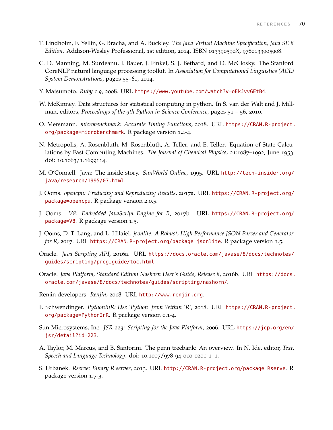- T. Lindholm, F. Yellin, G. Bracha, and A. Buckley. *The Java Virtual Machine Specification, Java SE 8 Edition*. Addison-Wesley Professional, 1st edition, 2014. ISBN 013390590X, 9780133905908.
- <span id="page-69-4"></span>C. D. Manning, M. Surdeanu, J. Bauer, J. Finkel, S. J. Bethard, and D. McClosky. The Stanford CoreNLP natural language processing toolkit. In *Association for Computational Linguistics (ACL) System Demonstrations*, pages 55–60, 2014.
- <span id="page-69-8"></span>Y. Matsumoto. *Ruby 1.9*, 2008. URL <https://www.youtube.com/watch?v=oEkJvvGEtB4>.
- <span id="page-69-12"></span>W. McKinney. Data structures for statistical computing in python. In S. van der Walt and J. Millman, editors, *Proceedings of the 9th Python in Science Conference*, pages 51 – 56, 2010.
- <span id="page-69-7"></span>O. Mersmann. *microbenchmark: Accurate Timing Functions*, 2018. URL [https://CRAN.R-project.](https://CRAN.R-project.org/package=microbenchmark) [org/package=microbenchmark](https://CRAN.R-project.org/package=microbenchmark). R package version 1.4-4.
- <span id="page-69-6"></span>N. Metropolis, A. Rosenbluth, M. Rosenbluth, A. Teller, and E. Teller. Equation of State Calculations by Fast Computing Machines. *The Journal of Chemical Physics*, 21:1087–1092, June 1953. doi: 10.1063/1.1699114.
- <span id="page-69-0"></span>M. O'Connell. Java: The inside story. *SunWorld Online*, 1995. URL [http://tech-insider.org/](http://tech-insider.org/java/research/1995/07.html) [java/research/1995/07.html](http://tech-insider.org/java/research/1995/07.html).
- <span id="page-69-10"></span>J. Ooms. *opencpu: Producing and Reproducing Results*, 2017a. URL [https://CRAN.R-project.org/](https://CRAN.R-project.org/package=opencpu) [package=opencpu](https://CRAN.R-project.org/package=opencpu). R package version 2.0.5.
- <span id="page-69-3"></span>J. Ooms. *V8: Embedded JavaScript Engine for R*, 2017b. URL [https://CRAN.R-project.org/](https://CRAN.R-project.org/package=V8) [package=V8](https://CRAN.R-project.org/package=V8). R package version 1.5.
- <span id="page-69-11"></span>J. Ooms, D. T. Lang, and L. Hilaiel. *jsonlite: A Robust, High Performance JSON Parser and Generator for R*, 2017. URL <https://CRAN.R-project.org/package=jsonlite>. R package version 1.5.
- <span id="page-69-1"></span>Oracle. *Java Scripting API*, 2016a. URL [https://docs.oracle.com/javase/8/docs/technotes/](https://docs.oracle.com/javase/8/docs/technotes/guides/scripting/prog_guide/toc.html) [guides/scripting/prog\\_guide/toc.html](https://docs.oracle.com/javase/8/docs/technotes/guides/scripting/prog_guide/toc.html).
- Oracle. *Java Platform, Standard Edition Nashorn User's Guide, Release 8*, 2016b. URL [https://docs.](https://docs.oracle.com/javase/8/docs/technotes/guides/scripting/nashorn/) [oracle.com/javase/8/docs/technotes/guides/scripting/nashorn/](https://docs.oracle.com/javase/8/docs/technotes/guides/scripting/nashorn/).
- <span id="page-69-14"></span>Renjin developers. *Renjin*, 2018. URL <http://www.renjin.org>.
- <span id="page-69-13"></span>F. Schwendinger. *PythonInR: Use 'Python' from Within 'R'*, 2018. URL [https://CRAN.R-project.](https://CRAN.R-project.org/package=PythonInR) [org/package=PythonInR](https://CRAN.R-project.org/package=PythonInR). R package version 0.1-4.
- <span id="page-69-2"></span>Sun Microsystems, Inc. *JSR-223: Scripting for the Java Platform*, 2006. URL [https://jcp.org/en/](https://jcp.org/en/jsr/detail?id=223) [jsr/detail?id=223](https://jcp.org/en/jsr/detail?id=223).
- <span id="page-69-5"></span>A. Taylor, M. Marcus, and B. Santorini. The penn treebank: An overview. In N. Ide, editor, *Text, Speech and Language Technology*. doi: 10.1007/978-94-010-0201-1\_1.
- <span id="page-69-9"></span>S. Urbanek. *Rserve: Binary R server*, 2013. URL <http://CRAN.R-project.org/package=Rserve>. R package version 1.7-3.